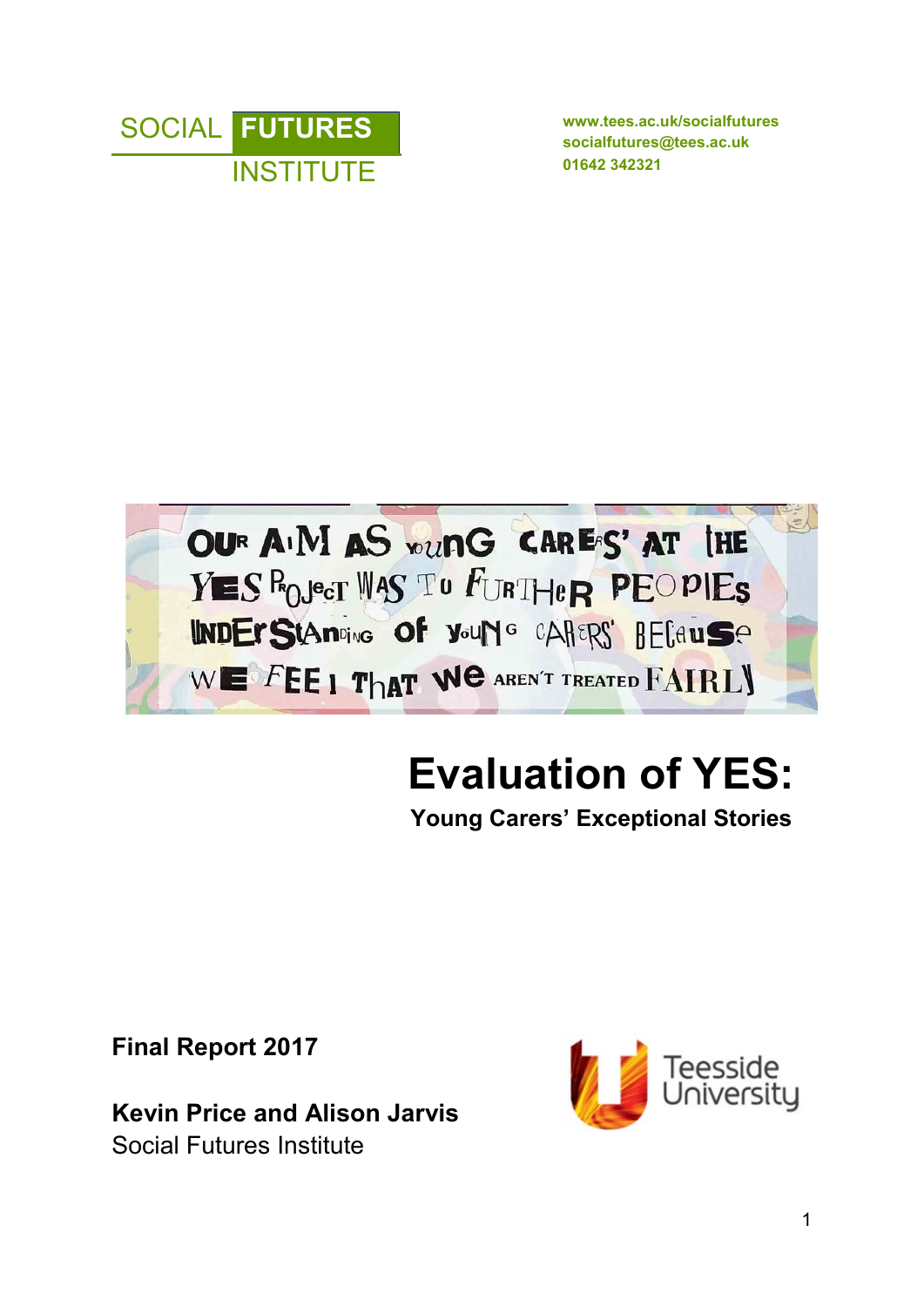

**socialfutures@tees.ac.uk**



# **Evaluation of YES: Young Carers' Exceptional Stories**

**Final Report 2017** 

**Kevin Price and Alison Jarvis**  Social Futures Institute

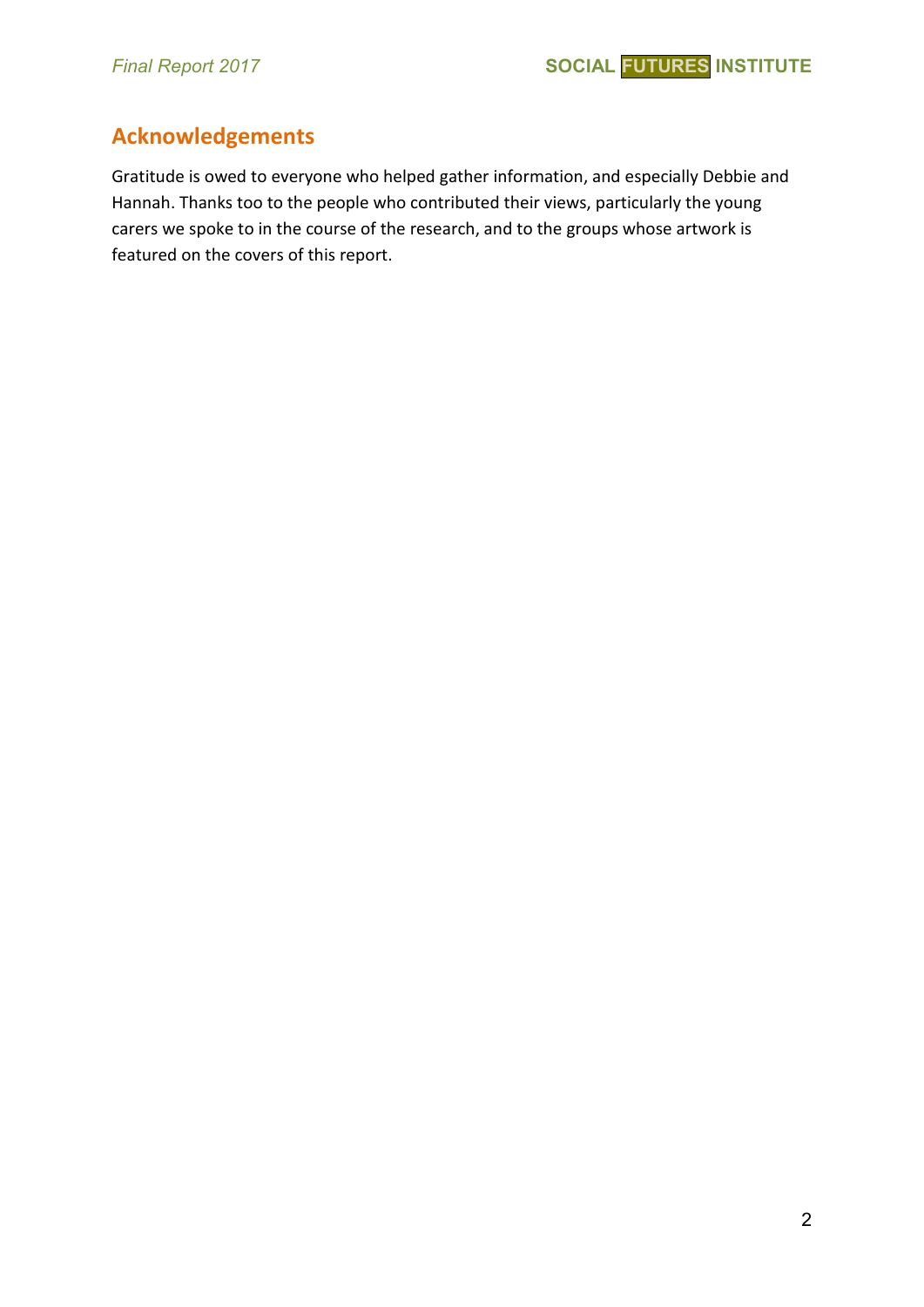# **Acknowledgements**

Gratitude is owed to everyone who helped gather information, and especially Debbie and Hannah. Thanks too to the people who contributed their views, particularly the young carers we spoke to in the course of the research, and to the groups whose artwork is featured on the covers of this report.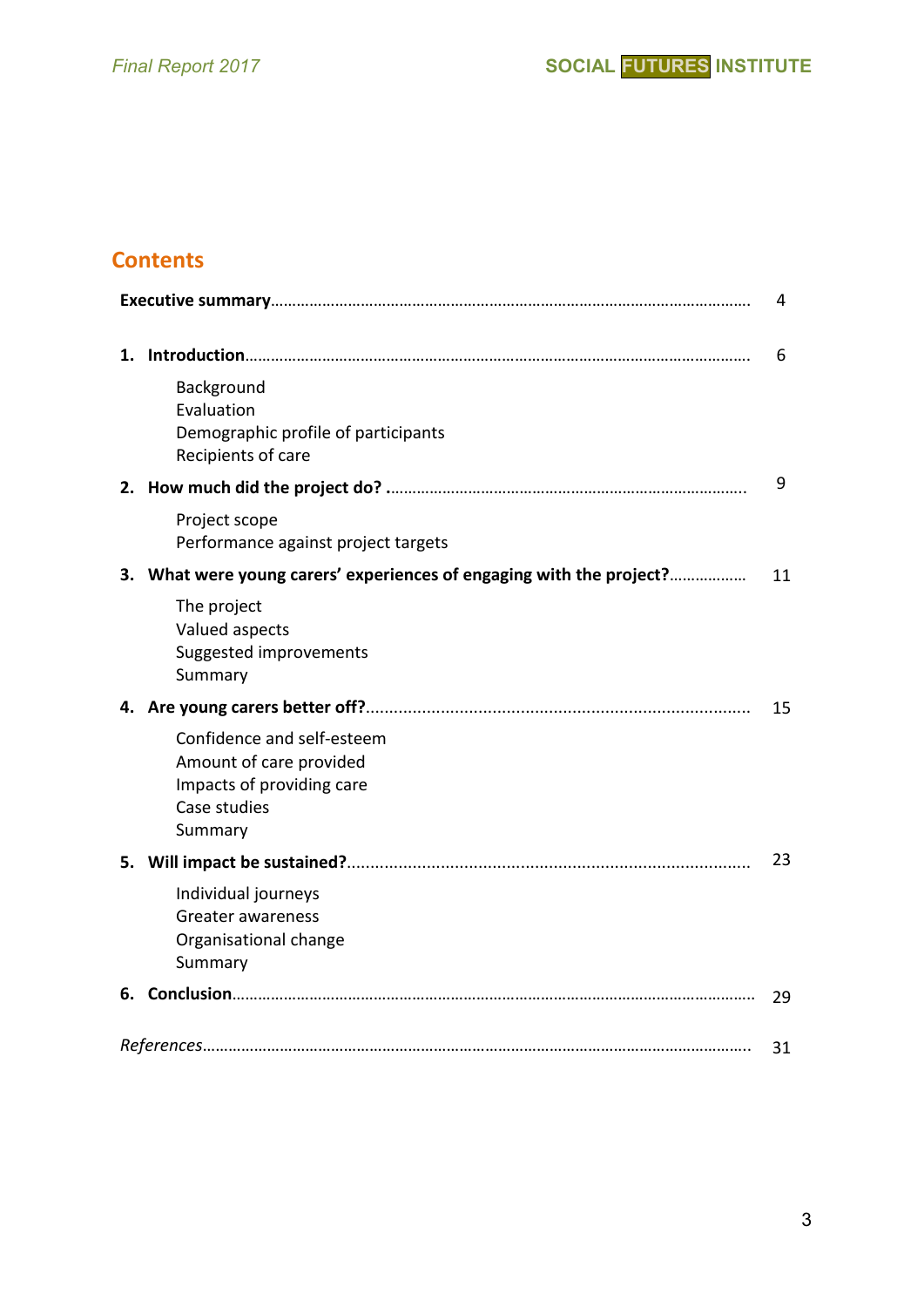# **Contents**

|    |                                                                                                               | 4  |
|----|---------------------------------------------------------------------------------------------------------------|----|
| 1. |                                                                                                               | 6  |
|    | Background<br>Evaluation<br>Demographic profile of participants<br>Recipients of care                         |    |
| 2. |                                                                                                               | 9  |
|    | Project scope<br>Performance against project targets                                                          |    |
| 3. | What were young carers' experiences of engaging with the project?                                             | 11 |
|    | The project<br>Valued aspects<br>Suggested improvements<br>Summary                                            |    |
|    |                                                                                                               | 15 |
|    | Confidence and self-esteem<br>Amount of care provided<br>Impacts of providing care<br>Case studies<br>Summary |    |
| 5. |                                                                                                               | 23 |
|    | Individual journeys<br><b>Greater awareness</b><br>Organisational change<br>Summary                           |    |
|    |                                                                                                               | 29 |
|    |                                                                                                               | 31 |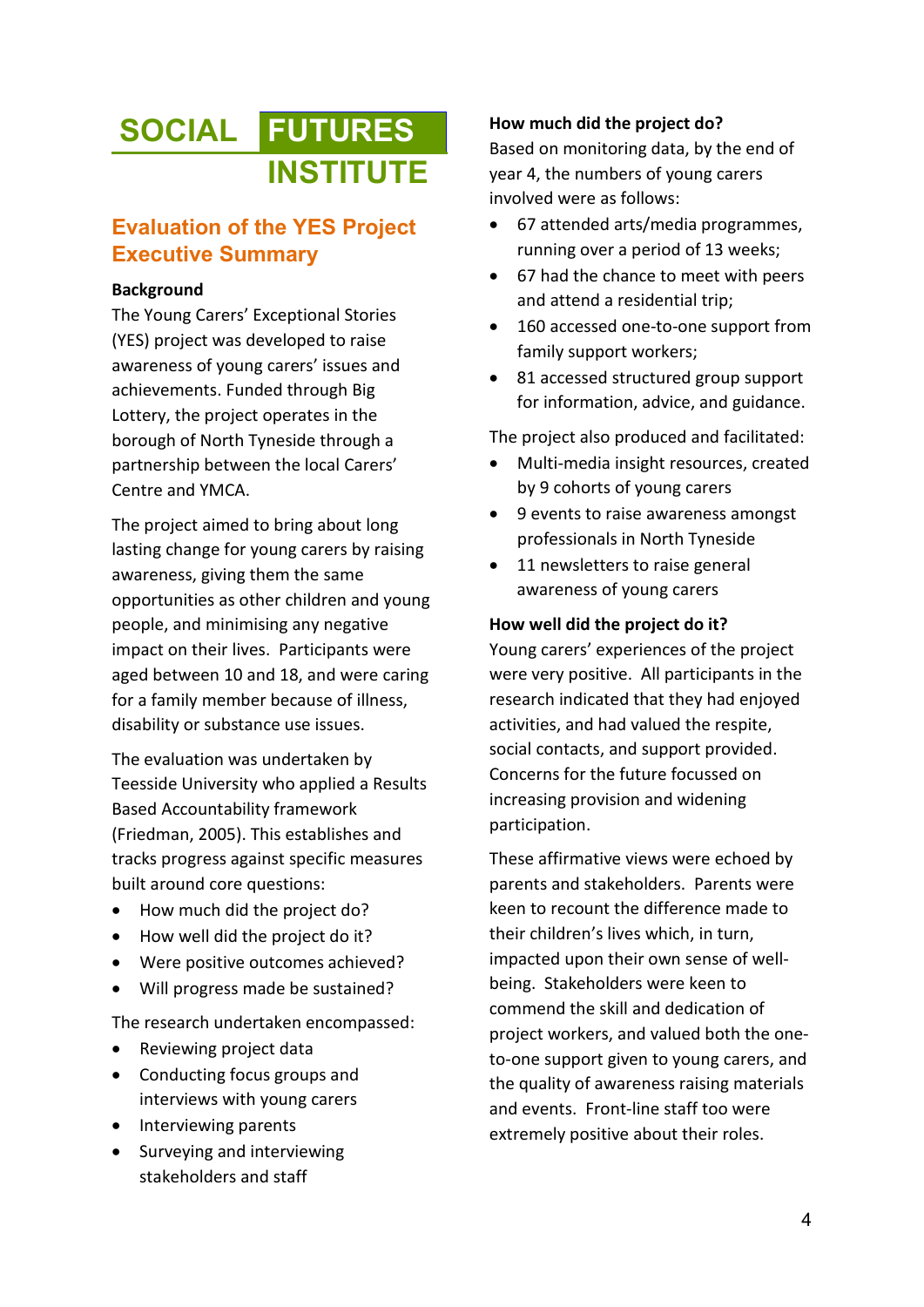# **SOCIAL FUTURES INSTITUTE**

# **Evaluation of the YES Project Executive Summary**

#### **Background**

The Young Carers' Exceptional Stories (YES) project was developed to raise awareness of young carers' issues and achievements. Funded through Big Lottery, the project operates in the borough of North Tyneside through a partnership between the local Carers' Centre and YMCA.

The project aimed to bring about long lasting change for young carers by raising awareness, giving them the same opportunities as other children and young people, and minimising any negative impact on their lives. Participants were aged between 10 and 18, and were caring for a family member because of illness, disability or substance use issues.

The evaluation was undertaken by Teesside University who applied a Results Based Accountability framework (Friedman, 2005). This establishes and tracks progress against specific measures built around core questions:

- How much did the project do?
- How well did the project do it?
- Were positive outcomes achieved?
- Will progress made be sustained?

The research undertaken encompassed:

- Reviewing project data
- Conducting focus groups and interviews with young carers
- Interviewing parents
- Surveying and interviewing stakeholders and staff

#### **How much did the project do?**

Based on monitoring data, by the end of year 4, the numbers of young carers involved were as follows:

- 67 attended arts/media programmes, running over a period of 13 weeks;
- 67 had the chance to meet with peers and attend a residential trip;
- 160 accessed one-to-one support from family support workers;
- 81 accessed structured group support for information, advice, and guidance.

The project also produced and facilitated:

- Multi-media insight resources, created by 9 cohorts of young carers
- 9 events to raise awareness amongst professionals in North Tyneside
- 11 newsletters to raise general awareness of young carers

#### **How well did the project do it?**

Young carers' experiences of the project were very positive. All participants in the research indicated that they had enjoyed activities, and had valued the respite, social contacts, and support provided. Concerns for the future focussed on increasing provision and widening participation.

These affirmative views were echoed by parents and stakeholders. Parents were keen to recount the difference made to their children's lives which, in turn, impacted upon their own sense of wellbeing. Stakeholders were keen to commend the skill and dedication of project workers, and valued both the oneto-one support given to young carers, and the quality of awareness raising materials and events. Front-line staff too were extremely positive about their roles.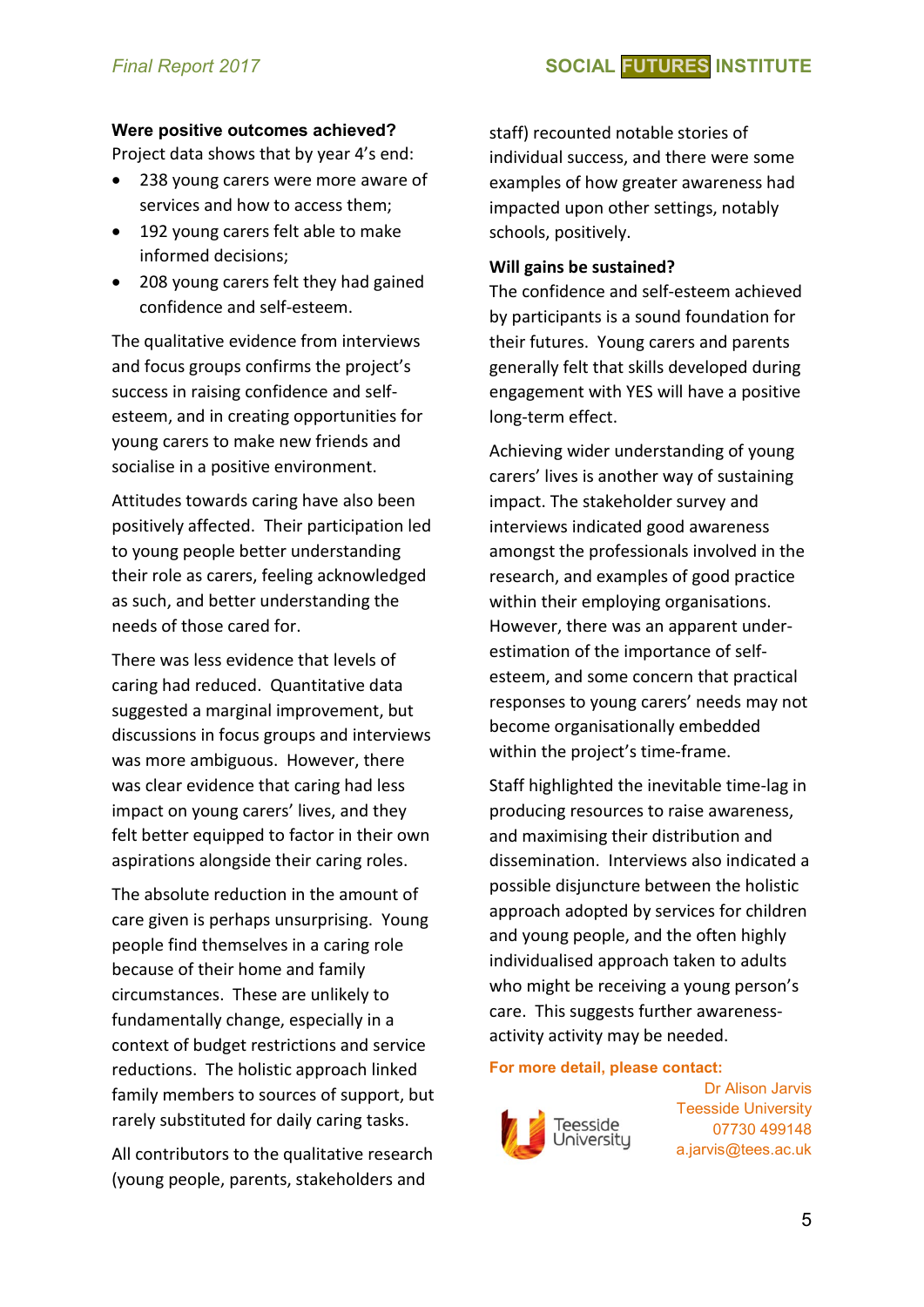#### **Were positive outcomes achieved?**

Project data shows that by year 4's end:

- 238 young carers were more aware of services and how to access them;
- 192 young carers felt able to make informed decisions;
- 208 young carers felt they had gained confidence and self-esteem.

The qualitative evidence from interviews and focus groups confirms the project's success in raising confidence and selfesteem, and in creating opportunities for young carers to make new friends and socialise in a positive environment.

Attitudes towards caring have also been positively affected. Their participation led to young people better understanding their role as carers, feeling acknowledged as such, and better understanding the needs of those cared for.

There was less evidence that levels of caring had reduced. Quantitative data suggested a marginal improvement, but discussions in focus groups and interviews was more ambiguous. However, there was clear evidence that caring had less impact on young carers' lives, and they felt better equipped to factor in their own aspirations alongside their caring roles.

The absolute reduction in the amount of care given is perhaps unsurprising. Young people find themselves in a caring role because of their home and family circumstances. These are unlikely to fundamentally change, especially in a context of budget restrictions and service reductions. The holistic approach linked family members to sources of support, but rarely substituted for daily caring tasks.

All contributors to the qualitative research (young people, parents, stakeholders and

staff) recounted notable stories of individual success, and there were some examples of how greater awareness had impacted upon other settings, notably schools, positively.

#### **Will gains be sustained?**

The confidence and self-esteem achieved by participants is a sound foundation for their futures. Young carers and parents generally felt that skills developed during engagement with YES will have a positive long-term effect.

Achieving wider understanding of young carers' lives is another way of sustaining impact. The stakeholder survey and interviews indicated good awareness amongst the professionals involved in the research, and examples of good practice within their employing organisations. However, there was an apparent underestimation of the importance of selfesteem, and some concern that practical responses to young carers' needs may not become organisationally embedded within the project's time-frame.

Staff highlighted the inevitable time-lag in producing resources to raise awareness, and maximising their distribution and dissemination. Interviews also indicated a possible disjuncture between the holistic approach adopted by services for children and young people, and the often highly individualised approach taken to adults who might be receiving a young person's care. This suggests further awarenessactivity activity may be needed.

#### **For more detail, please contact:**



Dr Alison Jarvis Teesside University 07730 499148 a.jarvis@tees.ac.uk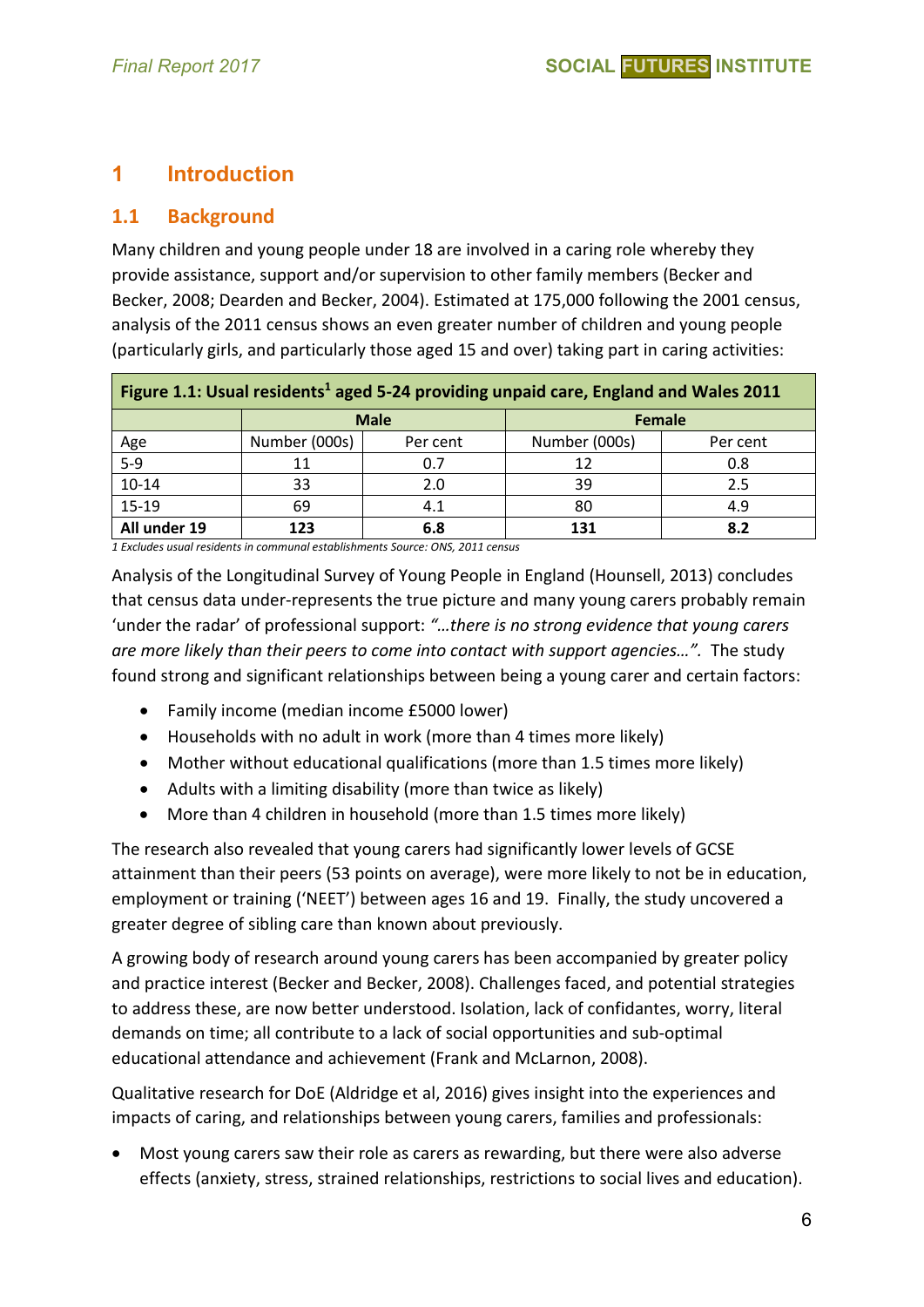# **1 Introduction**

#### **1.1 Background**

Many children and young people under 18 are involved in a caring role whereby they provide assistance, support and/or supervision to other family members (Becker and Becker, 2008; Dearden and Becker, 2004). Estimated at 175,000 following the 2001 census, analysis of the 2011 census shows an even greater number of children and young people (particularly girls, and particularly those aged 15 and over) taking part in caring activities:

| Figure 1.1: Usual residents <sup>1</sup> aged 5-24 providing unpaid care, England and Wales 2011 |               |                              |               |          |  |  |  |
|--------------------------------------------------------------------------------------------------|---------------|------------------------------|---------------|----------|--|--|--|
|                                                                                                  |               | <b>Male</b><br><b>Female</b> |               |          |  |  |  |
| $\frac{\text{Age}}{\text{5-9}}$                                                                  | Number (000s) | Per cent                     | Number (000s) | Per cent |  |  |  |
|                                                                                                  | 11            | 0.7                          | 12            | 0.8      |  |  |  |
| $10 - 14$                                                                                        | 33            | 2.0                          | 39            | 2.5      |  |  |  |
| 15-19                                                                                            | 69            | 4.1                          | 80            | 4.9      |  |  |  |
| All under 19                                                                                     | 123           | 6.8                          | 131           | 8.2      |  |  |  |

*1 Excludes usual residents in communal establishments Source: ONS, 2011 census* 

Analysis of the Longitudinal Survey of Young People in England (Hounsell, 2013) concludes that census data under-represents the true picture and many young carers probably remain 'under the radar' of professional support: *"…there is no strong evidence that young carers are more likely than their peers to come into contact with support agencies…".* The study found strong and significant relationships between being a young carer and certain factors:

- Family income (median income £5000 lower)
- Households with no adult in work (more than 4 times more likely)
- Mother without educational qualifications (more than 1.5 times more likely)
- Adults with a limiting disability (more than twice as likely)
- More than 4 children in household (more than 1.5 times more likely)

The research also revealed that young carers had significantly lower levels of GCSE attainment than their peers (53 points on average), were more likely to not be in education, employment or training ('NEET') between ages 16 and 19. Finally, the study uncovered a greater degree of sibling care than known about previously.

A growing body of research around young carers has been accompanied by greater policy and practice interest (Becker and Becker, 2008). Challenges faced, and potential strategies to address these, are now better understood. Isolation, lack of confidantes, worry, literal demands on time; all contribute to a lack of social opportunities and sub-optimal educational attendance and achievement (Frank and McLarnon, 2008).

Qualitative research for DoE (Aldridge et al, 2016) gives insight into the experiences and impacts of caring, and relationships between young carers, families and professionals:

• Most young carers saw their role as carers as rewarding, but there were also adverse effects (anxiety, stress, strained relationships, restrictions to social lives and education).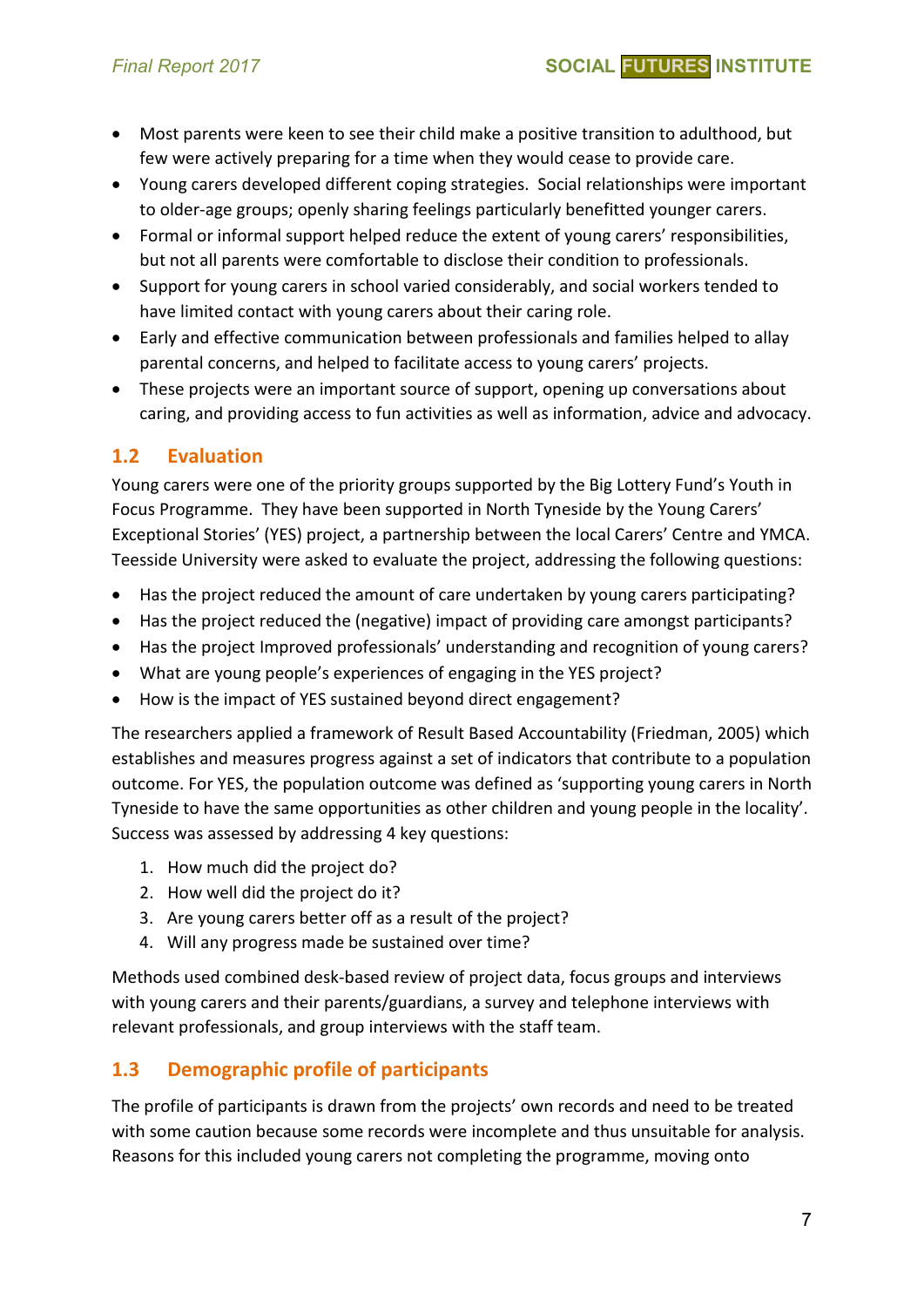- Most parents were keen to see their child make a positive transition to adulthood, but few were actively preparing for a time when they would cease to provide care.
- Young carers developed different coping strategies. Social relationships were important to older-age groups; openly sharing feelings particularly benefitted younger carers.
- Formal or informal support helped reduce the extent of young carers' responsibilities, but not all parents were comfortable to disclose their condition to professionals.
- Support for young carers in school varied considerably, and social workers tended to have limited contact with young carers about their caring role.
- Early and effective communication between professionals and families helped to allay parental concerns, and helped to facilitate access to young carers' projects.
- These projects were an important source of support, opening up conversations about caring, and providing access to fun activities as well as information, advice and advocacy.

#### **1.2 Evaluation**

Young carers were one of the priority groups supported by the Big Lottery Fund's Youth in Focus Programme. They have been supported in North Tyneside by the Young Carers' Exceptional Stories' (YES) project, a partnership between the local Carers' Centre and YMCA. Teesside University were asked to evaluate the project, addressing the following questions:

- Has the project reduced the amount of care undertaken by young carers participating?
- Has the project reduced the (negative) impact of providing care amongst participants?
- Has the project Improved professionals' understanding and recognition of young carers?
- What are young people's experiences of engaging in the YES project?
- How is the impact of YES sustained beyond direct engagement?

The researchers applied a framework of Result Based Accountability (Friedman, 2005) which establishes and measures progress against a set of indicators that contribute to a population outcome. For YES, the population outcome was defined as 'supporting young carers in North Tyneside to have the same opportunities as other children and young people in the locality'. Success was assessed by addressing 4 key questions:

- 1. How much did the project do?
- 2. How well did the project do it?
- 3. Are young carers better off as a result of the project?
- 4. Will any progress made be sustained over time?

Methods used combined desk-based review of project data, focus groups and interviews with young carers and their parents/guardians, a survey and telephone interviews with relevant professionals, and group interviews with the staff team.

#### **1.3 Demographic profile of participants**

The profile of participants is drawn from the projects' own records and need to be treated with some caution because some records were incomplete and thus unsuitable for analysis. Reasons for this included young carers not completing the programme, moving onto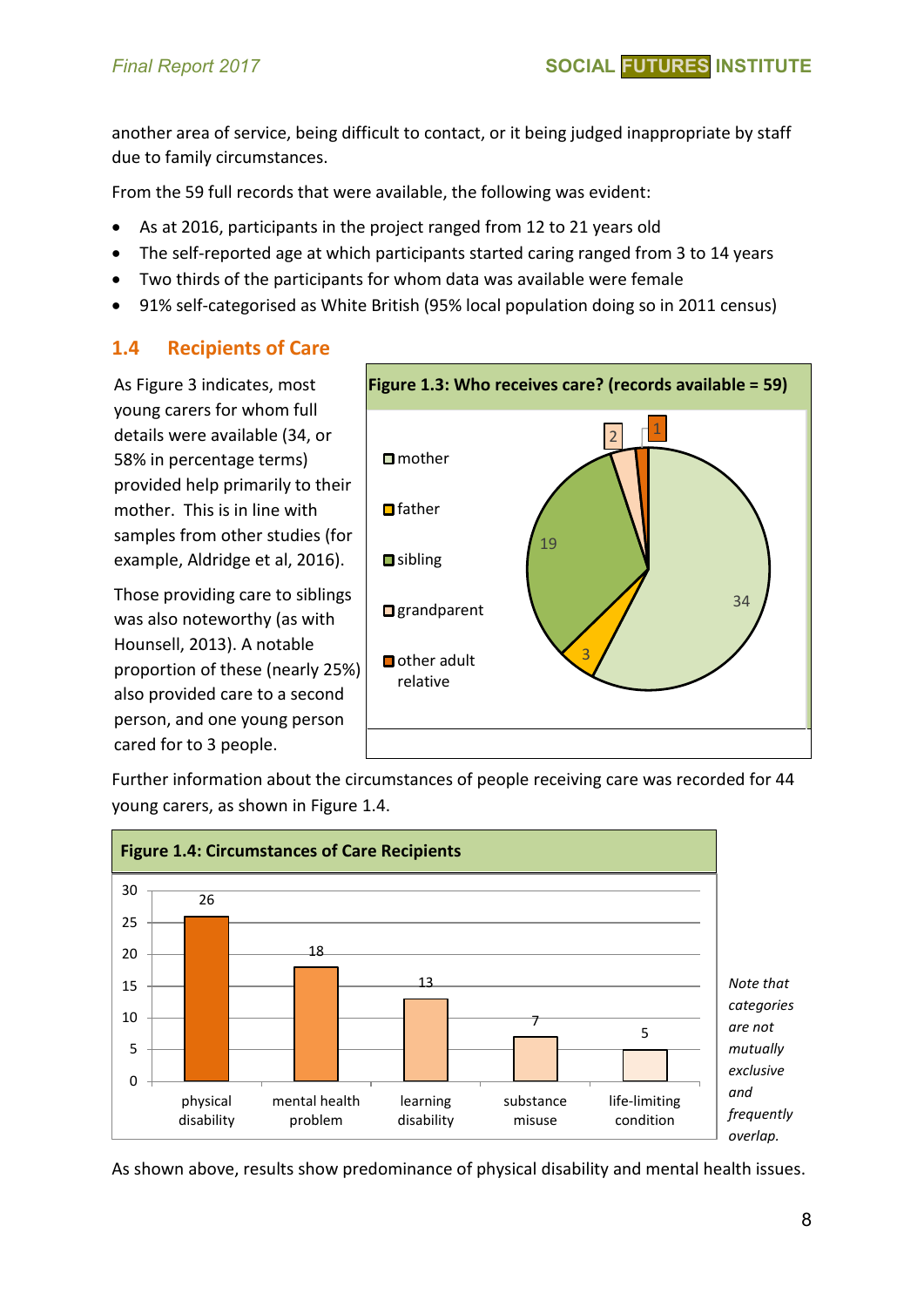another area of service, being difficult to contact, or it being judged inappropriate by staff due to family circumstances.

From the 59 full records that were available, the following was evident:

- As at 2016, participants in the project ranged from 12 to 21 years old
- The self-reported age at which participants started caring ranged from 3 to 14 years
- Two thirds of the participants for whom data was available were female
- 91% self-categorised as White British (95% local population doing so in 2011 census)

## **1.4 Recipients of Care**

As Figure 3 indicates, most young carers for whom full details were available (34, or 58% in percentage terms) provided help primarily to their mother. This is in line with samples from other studies (for example, Aldridge et al, 2016).

Those providing care to siblings was also noteworthy (as with Hounsell, 2013). A notable proportion of these (nearly 25%) also provided care to a second person, and one young person cared for to 3 people.



Further information about the circumstances of people receiving care was recorded for 44 young carers, as shown in Figure 1.4.



As shown above, results show predominance of physical disability and mental health issues.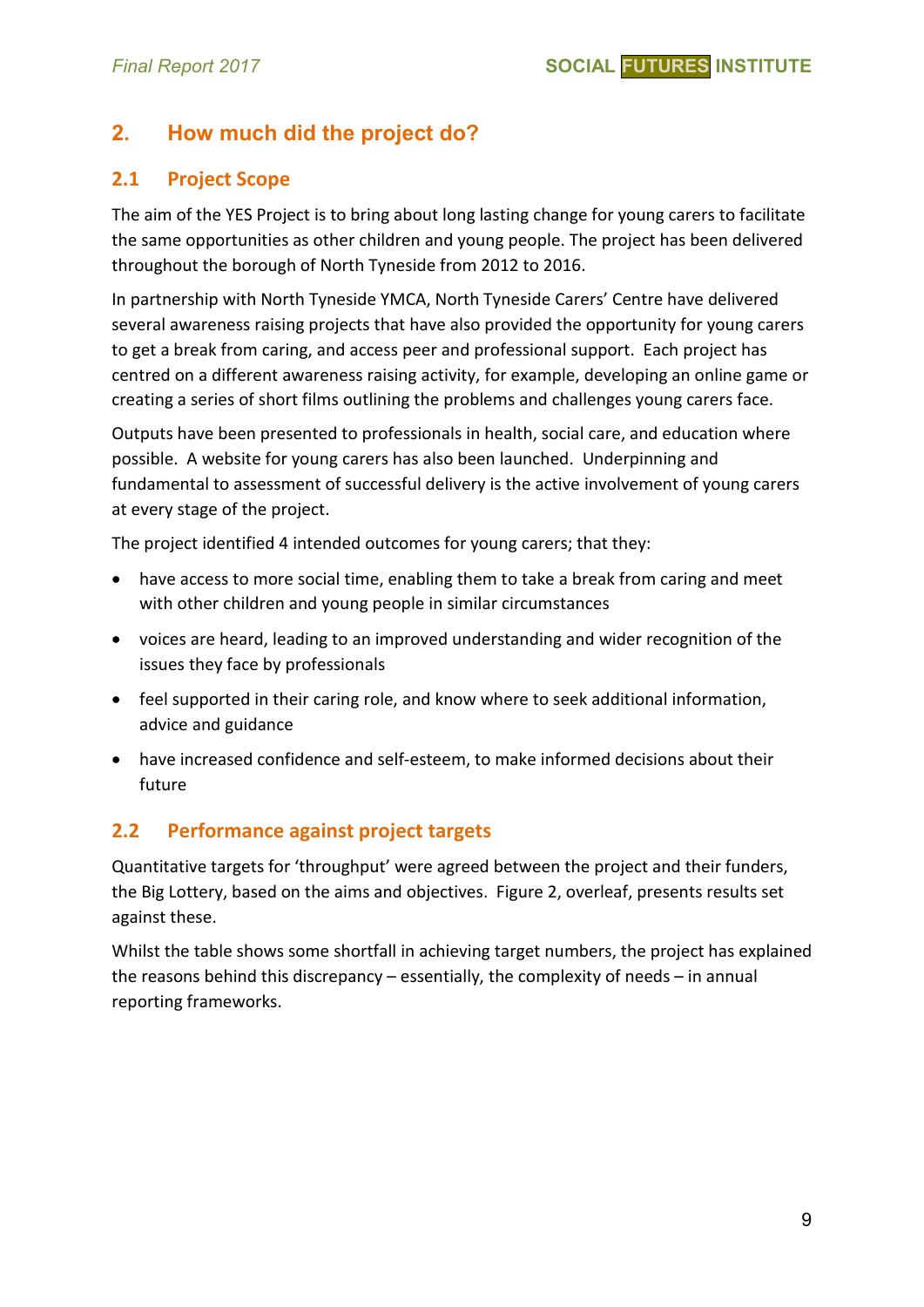# **2. How much did the project do?**

#### **2.1 Project Scope**

The aim of the YES Project is to bring about long lasting change for young carers to facilitate the same opportunities as other children and young people. The project has been delivered throughout the borough of North Tyneside from 2012 to 2016.

In partnership with North Tyneside YMCA, North Tyneside Carers' Centre have delivered several awareness raising projects that have also provided the opportunity for young carers to get a break from caring, and access peer and professional support. Each project has centred on a different awareness raising activity, for example, developing an online game or creating a series of short films outlining the problems and challenges young carers face.

Outputs have been presented to professionals in health, social care, and education where possible. A website for young carers has also been launched. Underpinning and fundamental to assessment of successful delivery is the active involvement of young carers at every stage of the project.

The project identified 4 intended outcomes for young carers; that they:

- have access to more social time, enabling them to take a break from caring and meet with other children and young people in similar circumstances
- voices are heard, leading to an improved understanding and wider recognition of the issues they face by professionals
- feel supported in their caring role, and know where to seek additional information, advice and guidance
- have increased confidence and self-esteem, to make informed decisions about their future

#### **2.2 Performance against project targets**

Quantitative targets for 'throughput' were agreed between the project and their funders, the Big Lottery, based on the aims and objectives. Figure 2, overleaf, presents results set against these.

Whilst the table shows some shortfall in achieving target numbers, the project has explained the reasons behind this discrepancy – essentially, the complexity of needs – in annual reporting frameworks.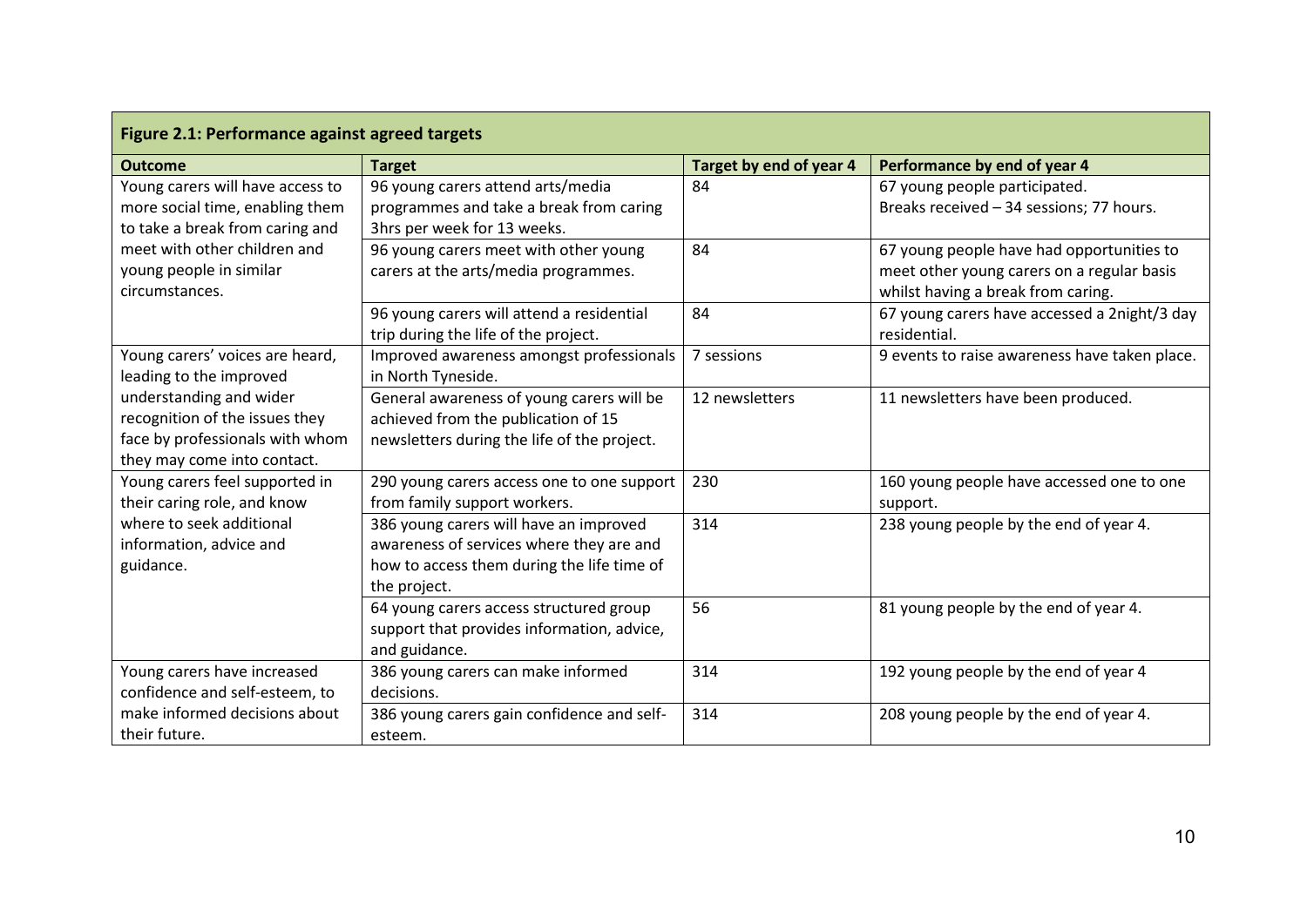| Figure 2.1: Performance against agreed targets |                                                         |                         |                                               |  |  |  |  |
|------------------------------------------------|---------------------------------------------------------|-------------------------|-----------------------------------------------|--|--|--|--|
| <b>Outcome</b>                                 | <b>Target</b>                                           | Target by end of year 4 | Performance by end of year 4                  |  |  |  |  |
| Young carers will have access to               | 96 young carers attend arts/media                       | 84                      | 67 young people participated.                 |  |  |  |  |
| more social time, enabling them                | programmes and take a break from caring                 |                         | Breaks received - 34 sessions; 77 hours.      |  |  |  |  |
| to take a break from caring and                | 3hrs per week for 13 weeks.                             |                         |                                               |  |  |  |  |
| meet with other children and                   | 96 young carers meet with other young                   | 84                      | 67 young people have had opportunities to     |  |  |  |  |
| young people in similar                        | carers at the arts/media programmes.                    |                         | meet other young carers on a regular basis    |  |  |  |  |
| circumstances.                                 |                                                         |                         | whilst having a break from caring.            |  |  |  |  |
|                                                | 96 young carers will attend a residential               | 84                      | 67 young carers have accessed a 2night/3 day  |  |  |  |  |
|                                                | trip during the life of the project.                    |                         | residential.                                  |  |  |  |  |
| Young carers' voices are heard,                | Improved awareness amongst professionals                | 7 sessions              | 9 events to raise awareness have taken place. |  |  |  |  |
| leading to the improved                        | in North Tyneside.                                      |                         |                                               |  |  |  |  |
| understanding and wider                        | General awareness of young carers will be               | 12 newsletters          | 11 newsletters have been produced.            |  |  |  |  |
| recognition of the issues they                 | achieved from the publication of 15                     |                         |                                               |  |  |  |  |
| face by professionals with whom                | newsletters during the life of the project.             |                         |                                               |  |  |  |  |
| they may come into contact.                    |                                                         |                         |                                               |  |  |  |  |
| Young carers feel supported in                 | 290 young carers access one to one support              | 230                     | 160 young people have accessed one to one     |  |  |  |  |
| their caring role, and know                    | from family support workers.                            |                         | support.                                      |  |  |  |  |
| where to seek additional                       | 386 young carers will have an improved                  | 314                     | 238 young people by the end of year 4.        |  |  |  |  |
| information, advice and                        | awareness of services where they are and                |                         |                                               |  |  |  |  |
| guidance.                                      | how to access them during the life time of              |                         |                                               |  |  |  |  |
|                                                | the project.<br>64 young carers access structured group | 56                      | 81 young people by the end of year 4.         |  |  |  |  |
|                                                | support that provides information, advice,              |                         |                                               |  |  |  |  |
|                                                | and guidance.                                           |                         |                                               |  |  |  |  |
| Young carers have increased                    | 386 young carers can make informed                      | 314                     | 192 young people by the end of year 4         |  |  |  |  |
| confidence and self-esteem, to                 | decisions.                                              |                         |                                               |  |  |  |  |
| make informed decisions about                  | 386 young carers gain confidence and self-              | 314                     | 208 young people by the end of year 4.        |  |  |  |  |
| their future.                                  | esteem.                                                 |                         |                                               |  |  |  |  |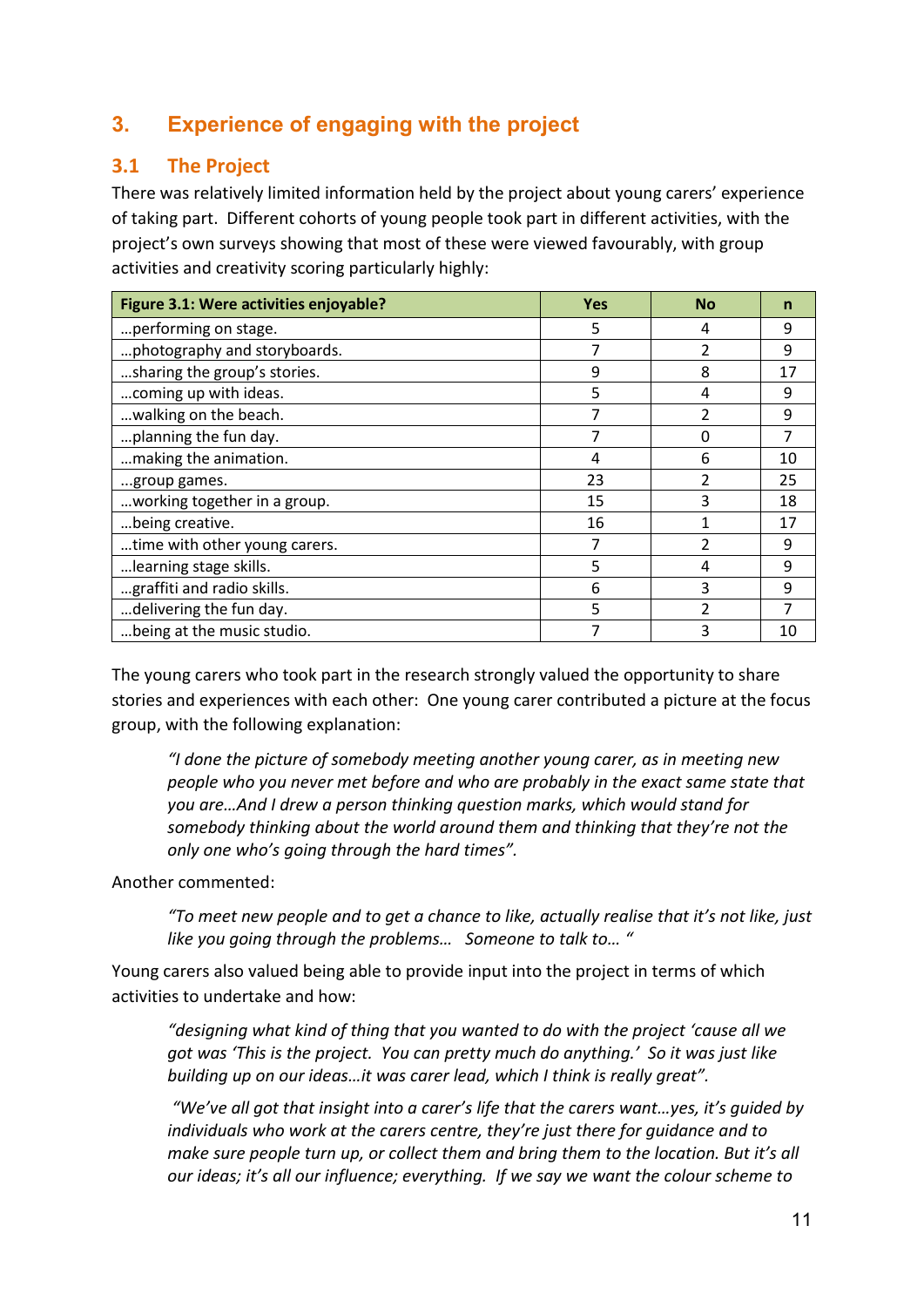# **3. Experience of engaging with the project**

#### **3.1 The Project**

There was relatively limited information held by the project about young carers' experience of taking part. Different cohorts of young people took part in different activities, with the project's own surveys showing that most of these were viewed favourably, with group activities and creativity scoring particularly highly:

| Figure 3.1: Were activities enjoyable? | <b>Yes</b> | <b>No</b> |    |
|----------------------------------------|------------|-----------|----|
| performing on stage.                   | 5          | 4         | 9  |
| photography and storyboards.           | 7          | 2         | 9  |
| sharing the group's stories.           | 9          | 8         | 17 |
| coming up with ideas.                  | 5          | 4         | 9  |
| walking on the beach.                  | 7          | 2         | 9  |
| planning the fun day.                  | 7          | O         | 7  |
| making the animation.                  | 4          | 6         | 10 |
| group games.                           | 23         |           | 25 |
| working together in a group.           | 15         | 3         | 18 |
| being creative.                        | 16         |           | 17 |
| time with other young carers.          |            | 2         | 9  |
| learning stage skills.                 | 5          | 4         | 9  |
| graffiti and radio skills.             | 6          | 3         | q  |
| delivering the fun day.                | 5          |           |    |
| being at the music studio.             |            | 3         | 10 |

The young carers who took part in the research strongly valued the opportunity to share stories and experiences with each other: One young carer contributed a picture at the focus group, with the following explanation:

*"I done the picture of somebody meeting another young carer, as in meeting new people who you never met before and who are probably in the exact same state that you are…And I drew a person thinking question marks, which would stand for somebody thinking about the world around them and thinking that they're not the only one who's going through the hard times".* 

Another commented:

*"To meet new people and to get a chance to like, actually realise that it's not like, just like you going through the problems… Someone to talk to… "* 

Young carers also valued being able to provide input into the project in terms of which activities to undertake and how:

*"designing what kind of thing that you wanted to do with the project 'cause all we got was 'This is the project. You can pretty much do anything.' So it was just like building up on our ideas…it was carer lead, which I think is really great".* 

*"We've all got that insight into a carer's life that the carers want…yes, it's guided by individuals who work at the carers centre, they're just there for guidance and to make sure people turn up, or collect them and bring them to the location. But it's all our ideas; it's all our influence; everything. If we say we want the colour scheme to*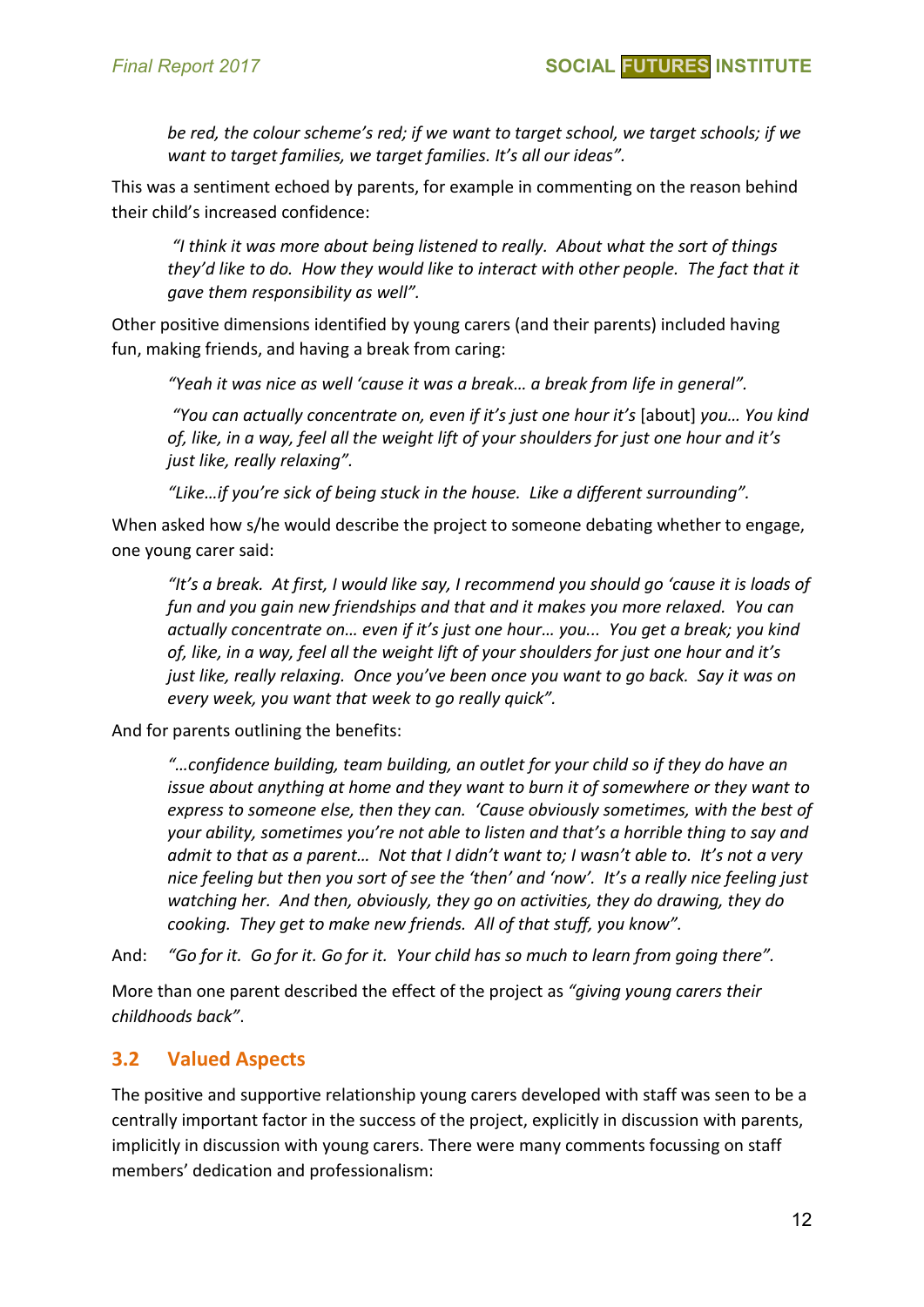*be red, the colour scheme's red; if we want to target school, we target schools; if we want to target families, we target families. It's all our ideas".*

This was a sentiment echoed by parents, for example in commenting on the reason behind their child's increased confidence:

*"I think it was more about being listened to really. About what the sort of things they'd like to do. How they would like to interact with other people. The fact that it gave them responsibility as well".*

Other positive dimensions identified by young carers (and their parents) included having fun, making friends, and having a break from caring:

*"Yeah it was nice as well 'cause it was a break… a break from life in general".*

*"You can actually concentrate on, even if it's just one hour it's* [about] *you… You kind of, like, in a way, feel all the weight lift of your shoulders for just one hour and it's just like, really relaxing".*

*"Like…if you're sick of being stuck in the house. Like a different surrounding".*

When asked how s/he would describe the project to someone debating whether to engage, one young carer said:

*"It's a break. At first, I would like say, I recommend you should go 'cause it is loads of fun and you gain new friendships and that and it makes you more relaxed. You can actually concentrate on… even if it's just one hour… you... You get a break; you kind of, like, in a way, feel all the weight lift of your shoulders for just one hour and it's just like, really relaxing. Once you've been once you want to go back. Say it was on every week, you want that week to go really quick".*

And for parents outlining the benefits:

*"…confidence building, team building, an outlet for your child so if they do have an issue about anything at home and they want to burn it of somewhere or they want to express to someone else, then they can. 'Cause obviously sometimes, with the best of your ability, sometimes you're not able to listen and that's a horrible thing to say and admit to that as a parent… Not that I didn't want to; I wasn't able to. It's not a very nice feeling but then you sort of see the 'then' and 'now'. It's a really nice feeling just watching her. And then, obviously, they go on activities, they do drawing, they do cooking. They get to make new friends. All of that stuff, you know".*

And: *"Go for it. Go for it. Go for it. Your child has so much to learn from going there".*

More than one parent described the effect of the project as *"giving young carers their childhoods back"*.

#### **3.2 Valued Aspects**

The positive and supportive relationship young carers developed with staff was seen to be a centrally important factor in the success of the project, explicitly in discussion with parents, implicitly in discussion with young carers. There were many comments focussing on staff members' dedication and professionalism: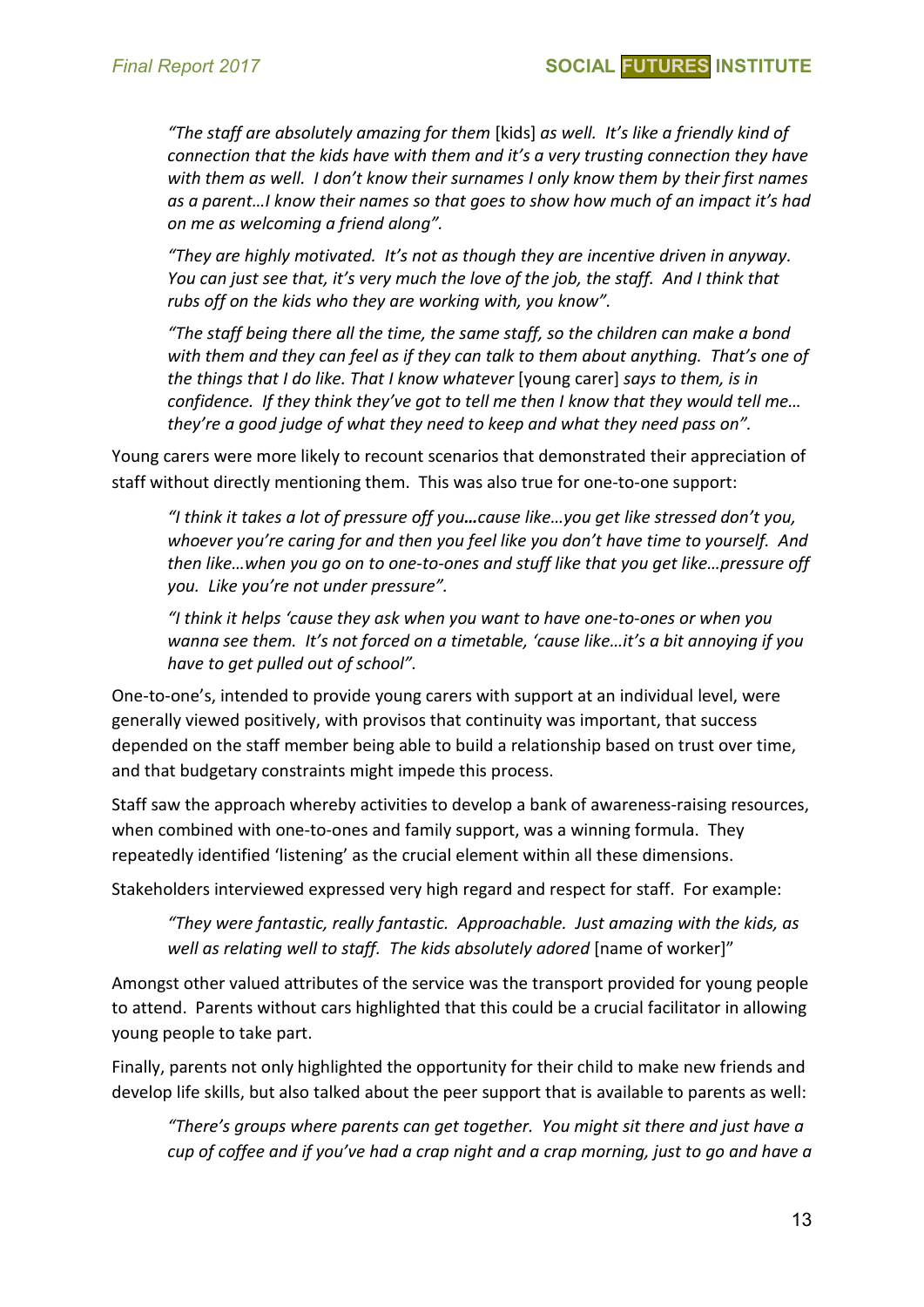*"The staff are absolutely amazing for them* [kids] *as well. It's like a friendly kind of connection that the kids have with them and it's a very trusting connection they have with them as well. I don't know their surnames I only know them by their first names as a parent…I know their names so that goes to show how much of an impact it's had on me as welcoming a friend along".*

*"They are highly motivated. It's not as though they are incentive driven in anyway. You can just see that, it's very much the love of the job, the staff. And I think that rubs off on the kids who they are working with, you know".*

*"The staff being there all the time, the same staff, so the children can make a bond with them and they can feel as if they can talk to them about anything. That's one of the things that I do like. That I know whatever* [young carer] *says to them, is in confidence. If they think they've got to tell me then I know that they would tell me… they're a good judge of what they need to keep and what they need pass on".*

Young carers were more likely to recount scenarios that demonstrated their appreciation of staff without directly mentioning them. This was also true for one-to-one support:

*"I think it takes a lot of pressure off you…cause like…you get like stressed don't you, whoever you're caring for and then you feel like you don't have time to yourself. And then like…when you go on to one-to-ones and stuff like that you get like…pressure off you. Like you're not under pressure".*

*"I think it helps 'cause they ask when you want to have one-to-ones or when you wanna see them. It's not forced on a timetable, 'cause like…it's a bit annoying if you have to get pulled out of school".*

One-to-one's, intended to provide young carers with support at an individual level, were generally viewed positively, with provisos that continuity was important, that success depended on the staff member being able to build a relationship based on trust over time, and that budgetary constraints might impede this process.

Staff saw the approach whereby activities to develop a bank of awareness-raising resources, when combined with one-to-ones and family support, was a winning formula. They repeatedly identified 'listening' as the crucial element within all these dimensions.

Stakeholders interviewed expressed very high regard and respect for staff. For example:

*"They were fantastic, really fantastic. Approachable. Just amazing with the kids, as*  well as relating well to staff. The kids absolutely adored [name of worker]"

Amongst other valued attributes of the service was the transport provided for young people to attend. Parents without cars highlighted that this could be a crucial facilitator in allowing young people to take part.

Finally, parents not only highlighted the opportunity for their child to make new friends and develop life skills, but also talked about the peer support that is available to parents as well:

*"There's groups where parents can get together. You might sit there and just have a cup of coffee and if you've had a crap night and a crap morning, just to go and have a*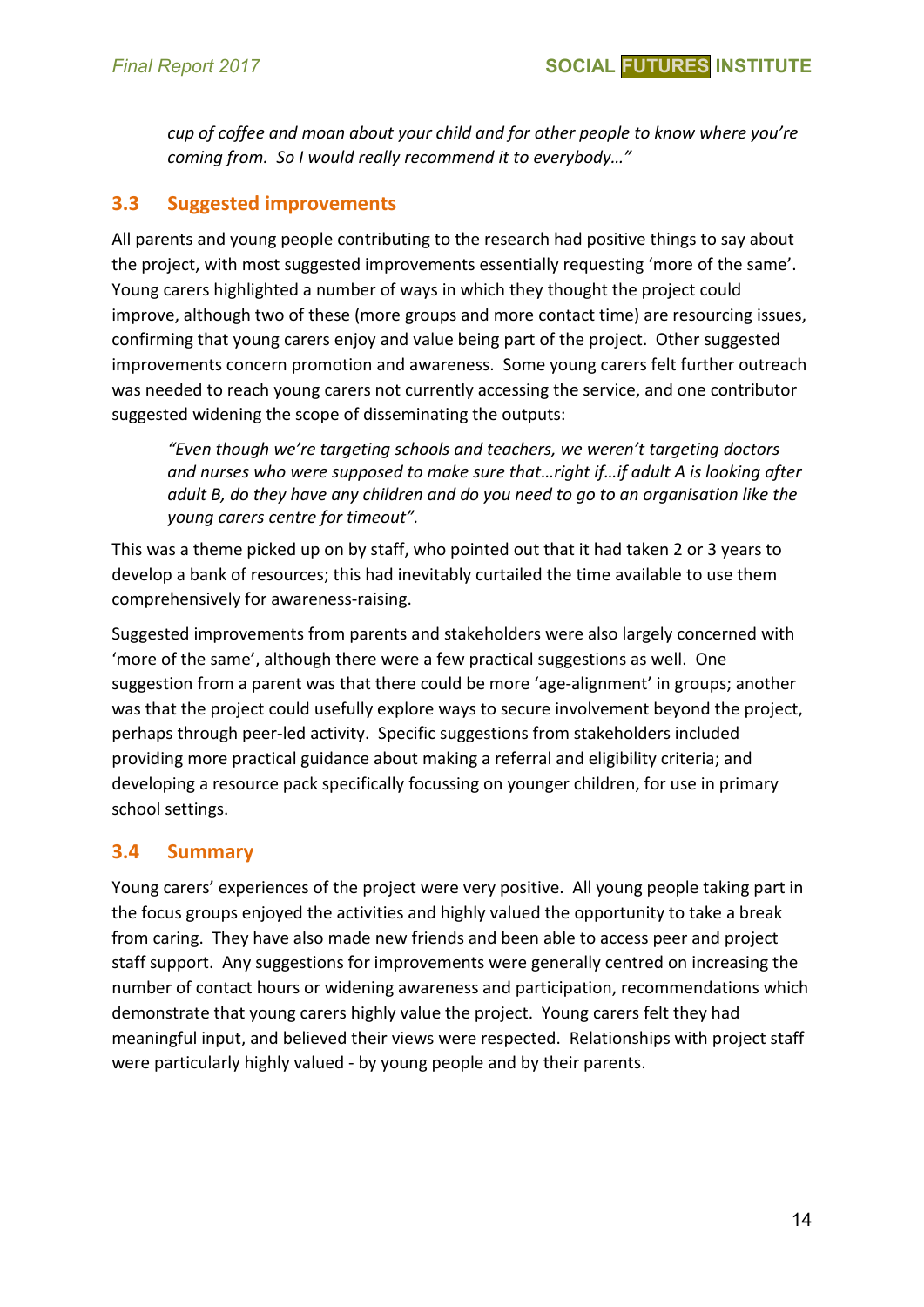*cup of coffee and moan about your child and for other people to know where you're coming from. So I would really recommend it to everybody…"*

## **3.3 Suggested improvements**

All parents and young people contributing to the research had positive things to say about the project, with most suggested improvements essentially requesting 'more of the same'. Young carers highlighted a number of ways in which they thought the project could improve, although two of these (more groups and more contact time) are resourcing issues, confirming that young carers enjoy and value being part of the project. Other suggested improvements concern promotion and awareness. Some young carers felt further outreach was needed to reach young carers not currently accessing the service, and one contributor suggested widening the scope of disseminating the outputs:

*"Even though we're targeting schools and teachers, we weren't targeting doctors and nurses who were supposed to make sure that…right if…if adult A is looking after adult B, do they have any children and do you need to go to an organisation like the young carers centre for timeout".*

This was a theme picked up on by staff, who pointed out that it had taken 2 or 3 years to develop a bank of resources; this had inevitably curtailed the time available to use them comprehensively for awareness-raising.

Suggested improvements from parents and stakeholders were also largely concerned with 'more of the same', although there were a few practical suggestions as well. One suggestion from a parent was that there could be more 'age-alignment' in groups; another was that the project could usefully explore ways to secure involvement beyond the project, perhaps through peer-led activity. Specific suggestions from stakeholders included providing more practical guidance about making a referral and eligibility criteria; and developing a resource pack specifically focussing on younger children, for use in primary school settings.

# **3.4 Summary**

Young carers' experiences of the project were very positive. All young people taking part in the focus groups enjoyed the activities and highly valued the opportunity to take a break from caring. They have also made new friends and been able to access peer and project staff support. Any suggestions for improvements were generally centred on increasing the number of contact hours or widening awareness and participation, recommendations which demonstrate that young carers highly value the project. Young carers felt they had meaningful input, and believed their views were respected. Relationships with project staff were particularly highly valued - by young people and by their parents.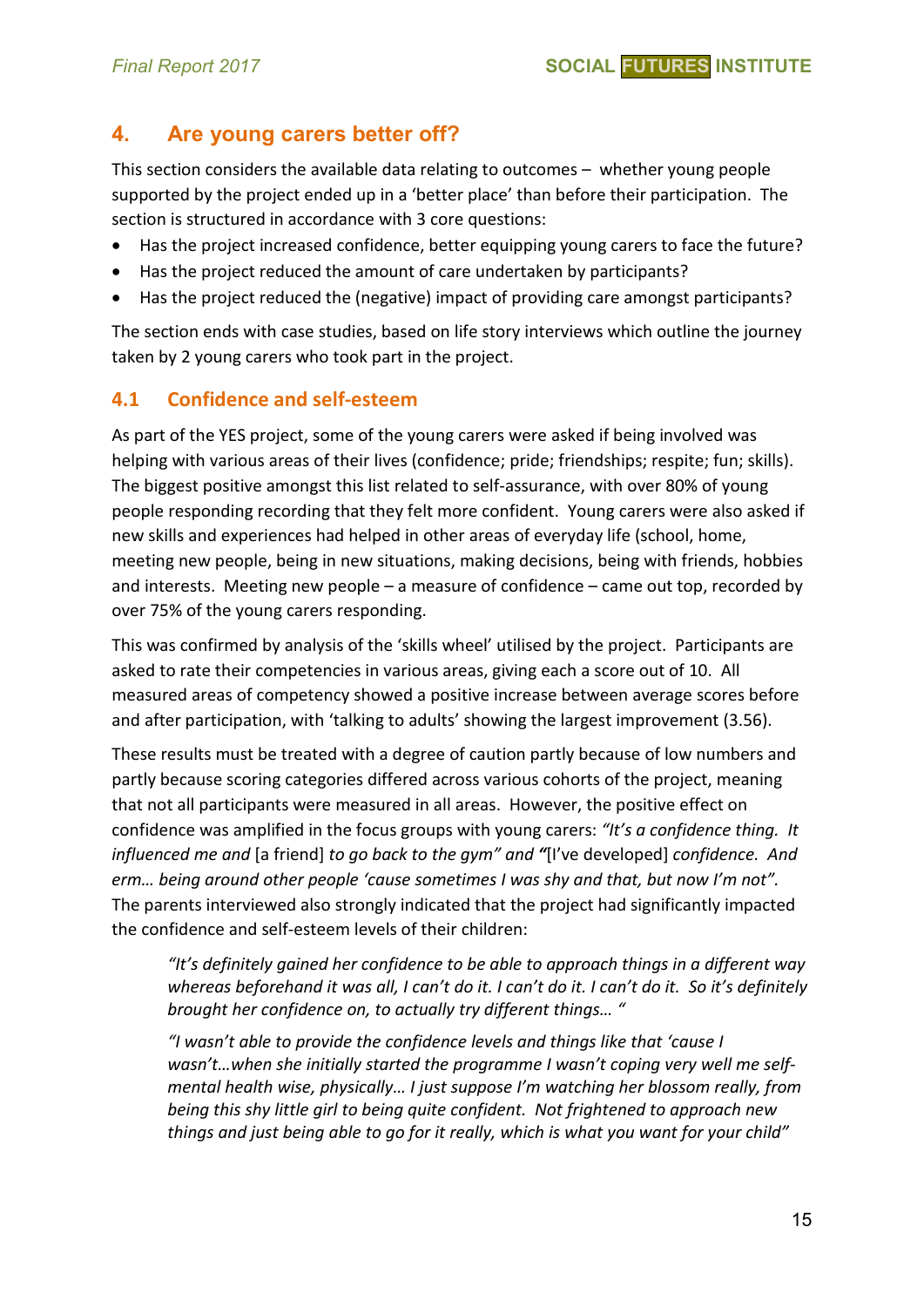# **4. Are young carers better off?**

This section considers the available data relating to outcomes – whether young people supported by the project ended up in a 'better place' than before their participation. The section is structured in accordance with 3 core questions:

- Has the project increased confidence, better equipping young carers to face the future?
- Has the project reduced the amount of care undertaken by participants?
- Has the project reduced the (negative) impact of providing care amongst participants?

The section ends with case studies, based on life story interviews which outline the journey taken by 2 young carers who took part in the project.

#### **4.1 Confidence and self-esteem**

As part of the YES project, some of the young carers were asked if being involved was helping with various areas of their lives (confidence; pride; friendships; respite; fun; skills). The biggest positive amongst this list related to self-assurance, with over 80% of young people responding recording that they felt more confident. Young carers were also asked if new skills and experiences had helped in other areas of everyday life (school, home, meeting new people, being in new situations, making decisions, being with friends, hobbies and interests. Meeting new people – a measure of confidence – came out top, recorded by over 75% of the young carers responding.

This was confirmed by analysis of the 'skills wheel' utilised by the project. Participants are asked to rate their competencies in various areas, giving each a score out of 10. All measured areas of competency showed a positive increase between average scores before and after participation, with 'talking to adults' showing the largest improvement (3.56).

These results must be treated with a degree of caution partly because of low numbers and partly because scoring categories differed across various cohorts of the project, meaning that not all participants were measured in all areas. However, the positive effect on confidence was amplified in the focus groups with young carers: *"It's a confidence thing. It influenced me and* [a friend] *to go back to the gym" and "*[I've developed] *confidence. And erm… being around other people 'cause sometimes I was shy and that, but now I'm not".*  The parents interviewed also strongly indicated that the project had significantly impacted the confidence and self-esteem levels of their children:

*"It's definitely gained her confidence to be able to approach things in a different way whereas beforehand it was all, I can't do it. I can't do it. I can't do it. So it's definitely brought her confidence on, to actually try different things… "*

*"I wasn't able to provide the confidence levels and things like that 'cause I wasn't…when she initially started the programme I wasn't coping very well me selfmental health wise, physically… I just suppose I'm watching her blossom really, from being this shy little girl to being quite confident. Not frightened to approach new things and just being able to go for it really, which is what you want for your child"*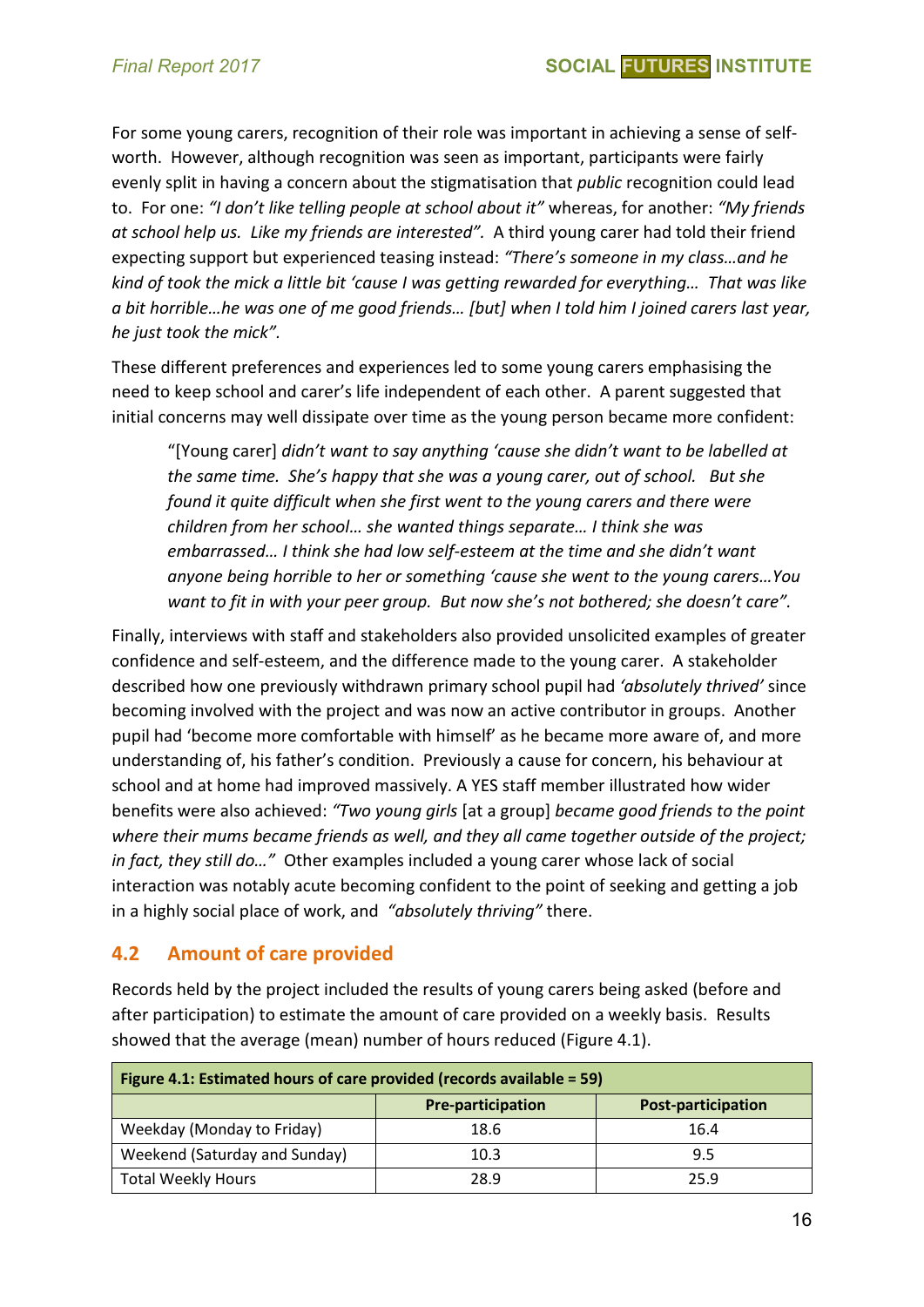For some young carers, recognition of their role was important in achieving a sense of selfworth. However, although recognition was seen as important, participants were fairly evenly split in having a concern about the stigmatisation that *public* recognition could lead to. For one: *"I don't like telling people at school about it"* whereas, for another: *"My friends at school help us. Like my friends are interested".* A third young carer had told their friend expecting support but experienced teasing instead: *"There's someone in my class…and he kind of took the mick a little bit 'cause I was getting rewarded for everything… That was like a bit horrible…he was one of me good friends… [but] when I told him I joined carers last year, he just took the mick".*

These different preferences and experiences led to some young carers emphasising the need to keep school and carer's life independent of each other. A parent suggested that initial concerns may well dissipate over time as the young person became more confident:

"[Young carer] *didn't want to say anything 'cause she didn't want to be labelled at the same time. She's happy that she was a young carer, out of school. But she found it quite difficult when she first went to the young carers and there were children from her school… she wanted things separate… I think she was embarrassed… I think she had low self-esteem at the time and she didn't want anyone being horrible to her or something 'cause she went to the young carers…You want to fit in with your peer group. But now she's not bothered; she doesn't care".*

Finally, interviews with staff and stakeholders also provided unsolicited examples of greater confidence and self-esteem, and the difference made to the young carer. A stakeholder described how one previously withdrawn primary school pupil had *'absolutely thrived'* since becoming involved with the project and was now an active contributor in groups. Another pupil had 'become more comfortable with himself' as he became more aware of, and more understanding of, his father's condition. Previously a cause for concern, his behaviour at school and at home had improved massively. A YES staff member illustrated how wider benefits were also achieved: *"Two young girls* [at a group] *became good friends to the point where their mums became friends as well, and they all came together outside of the project; in fact, they still do…"* Other examples included a young carer whose lack of social interaction was notably acute becoming confident to the point of seeking and getting a job in a highly social place of work, and *"absolutely thriving"* there.

#### **4.2 Amount of care provided**

Records held by the project included the results of young carers being asked (before and after participation) to estimate the amount of care provided on a weekly basis. Results showed that the average (mean) number of hours reduced (Figure 4.1).

| Figure 4.1: Estimated hours of care provided (records available = 59) |                          |                           |  |  |  |  |
|-----------------------------------------------------------------------|--------------------------|---------------------------|--|--|--|--|
|                                                                       | <b>Pre-participation</b> | <b>Post-participation</b> |  |  |  |  |
| Weekday (Monday to Friday)                                            | 18.6                     | 16.4                      |  |  |  |  |
| Weekend (Saturday and Sunday)                                         | 10.3                     | 9.5                       |  |  |  |  |
| <b>Total Weekly Hours</b>                                             | 28.9                     | 25.9                      |  |  |  |  |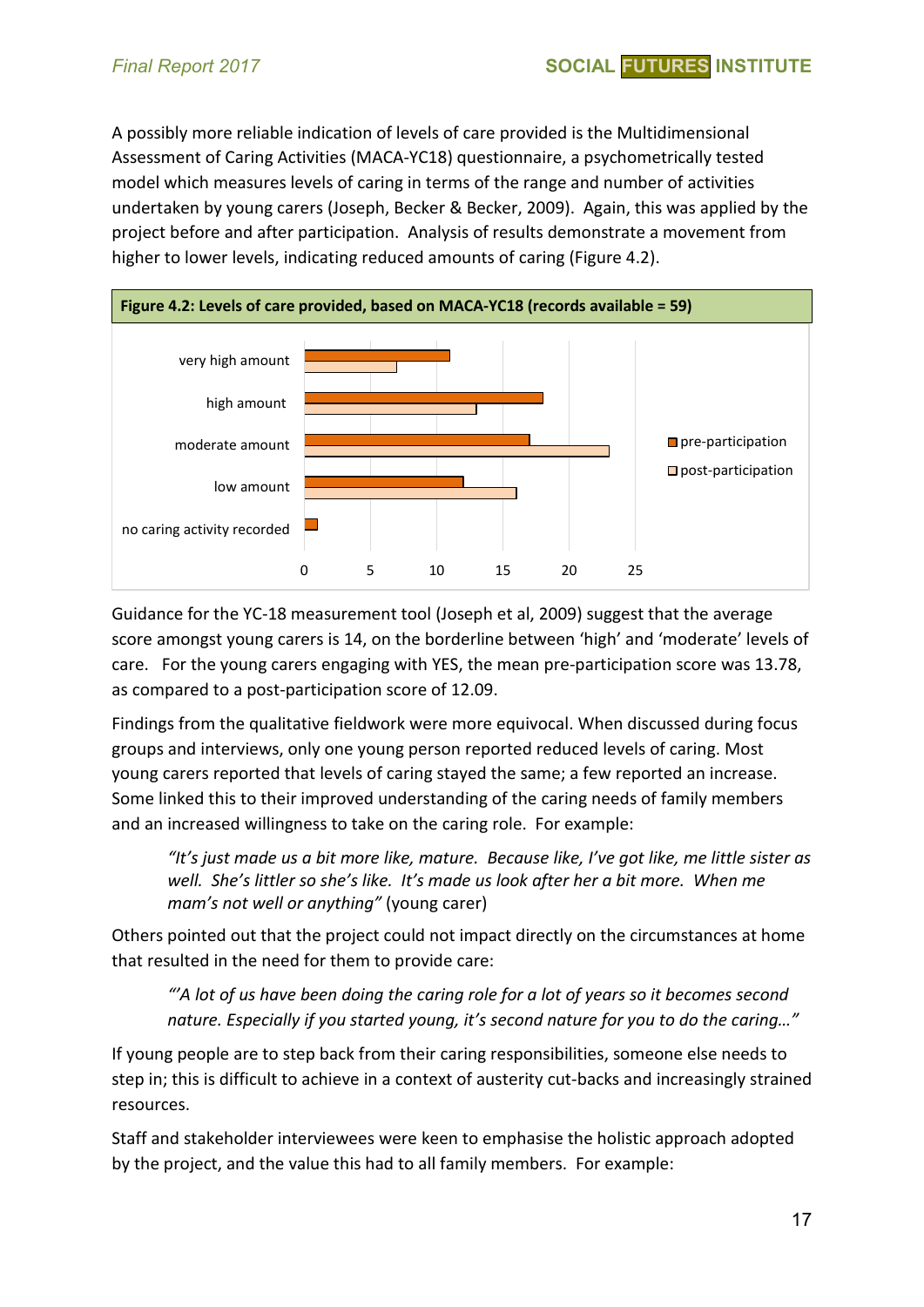A possibly more reliable indication of levels of care provided is the Multidimensional Assessment of Caring Activities (MACA-YC18) questionnaire, a psychometrically tested model which measures levels of caring in terms of the range and number of activities undertaken by young carers (Joseph, Becker & Becker, 2009). Again, this was applied by the project before and after participation. Analysis of results demonstrate a movement from higher to lower levels, indicating reduced amounts of caring (Figure 4.2).



Guidance for the YC-18 measurement tool (Joseph et al, 2009) suggest that the average score amongst young carers is 14, on the borderline between 'high' and 'moderate' levels of care. For the young carers engaging with YES, the mean pre-participation score was 13.78, as compared to a post-participation score of 12.09.

Findings from the qualitative fieldwork were more equivocal. When discussed during focus groups and interviews, only one young person reported reduced levels of caring. Most young carers reported that levels of caring stayed the same; a few reported an increase. Some linked this to their improved understanding of the caring needs of family members and an increased willingness to take on the caring role. For example:

*"It's just made us a bit more like, mature. Because like, I've got like, me little sister as well. She's littler so she's like. It's made us look after her a bit more. When me mam's not well or anything"* (young carer)

Others pointed out that the project could not impact directly on the circumstances at home that resulted in the need for them to provide care:

*"'A lot of us have been doing the caring role for a lot of years so it becomes second nature. Especially if you started young, it's second nature for you to do the caring…"* 

If young people are to step back from their caring responsibilities, someone else needs to step in; this is difficult to achieve in a context of austerity cut-backs and increasingly strained resources.

Staff and stakeholder interviewees were keen to emphasise the holistic approach adopted by the project, and the value this had to all family members. For example: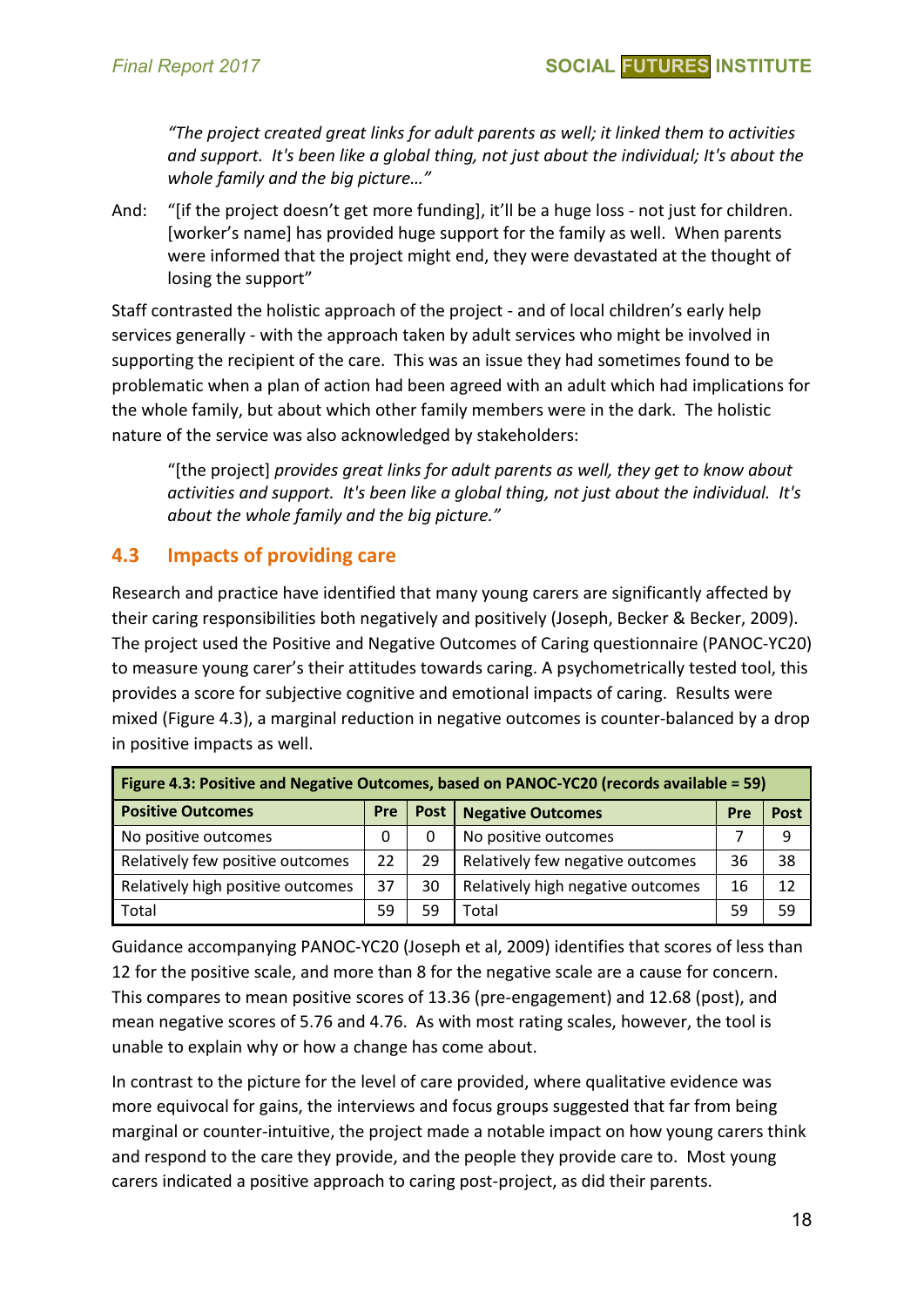*"The project created great links for adult parents as well; it linked them to activities and support. It's been like a global thing, not just about the individual; It's about the whole family and the big picture…"*

And: "[if the project doesn't get more funding], it'll be a huge loss - not just for children. [worker's name] has provided huge support for the family as well. When parents were informed that the project might end, they were devastated at the thought of losing the support"

Staff contrasted the holistic approach of the project - and of local children's early help services generally - with the approach taken by adult services who might be involved in supporting the recipient of the care. This was an issue they had sometimes found to be problematic when a plan of action had been agreed with an adult which had implications for the whole family, but about which other family members were in the dark. The holistic nature of the service was also acknowledged by stakeholders:

"[the project] *provides great links for adult parents as well, they get to know about activities and support. It's been like a global thing, not just about the individual. It's about the whole family and the big picture."*

#### **4.3 Impacts of providing care**

Research and practice have identified that many young carers are significantly affected by their caring responsibilities both negatively and positively (Joseph, Becker & Becker, 2009). The project used the Positive and Negative Outcomes of Caring questionnaire (PANOC-YC20) to measure young carer's their attitudes towards caring. A psychometrically tested tool, this provides a score for subjective cognitive and emotional impacts of caring. Results were mixed (Figure 4.3), a marginal reduction in negative outcomes is counter-balanced by a drop in positive impacts as well.

| Figure 4.3: Positive and Negative Outcomes, based on PANOC-YC20 (records available = 59) |     |             |                                   |     |      |  |  |  |
|------------------------------------------------------------------------------------------|-----|-------------|-----------------------------------|-----|------|--|--|--|
| <b>Positive Outcomes</b>                                                                 | Pre | <b>Post</b> | <b>Negative Outcomes</b>          | Pre | Post |  |  |  |
| No positive outcomes                                                                     | Ω   |             | No positive outcomes              |     | 9    |  |  |  |
| Relatively few positive outcomes                                                         | 22  | 29          | Relatively few negative outcomes  | 36  | 38   |  |  |  |
| Relatively high positive outcomes                                                        | 37  | 30          | Relatively high negative outcomes | 16  | 12   |  |  |  |
| Total                                                                                    | 59  | 59          | Total                             | 59  | 59   |  |  |  |

Guidance accompanying PANOC-YC20 (Joseph et al, 2009) identifies that scores of less than 12 for the positive scale, and more than 8 for the negative scale are a cause for concern. This compares to mean positive scores of 13.36 (pre-engagement) and 12.68 (post), and mean negative scores of 5.76 and 4.76. As with most rating scales, however, the tool is unable to explain why or how a change has come about.

In contrast to the picture for the level of care provided, where qualitative evidence was more equivocal for gains, the interviews and focus groups suggested that far from being marginal or counter-intuitive, the project made a notable impact on how young carers think and respond to the care they provide, and the people they provide care to. Most young carers indicated a positive approach to caring post-project, as did their parents.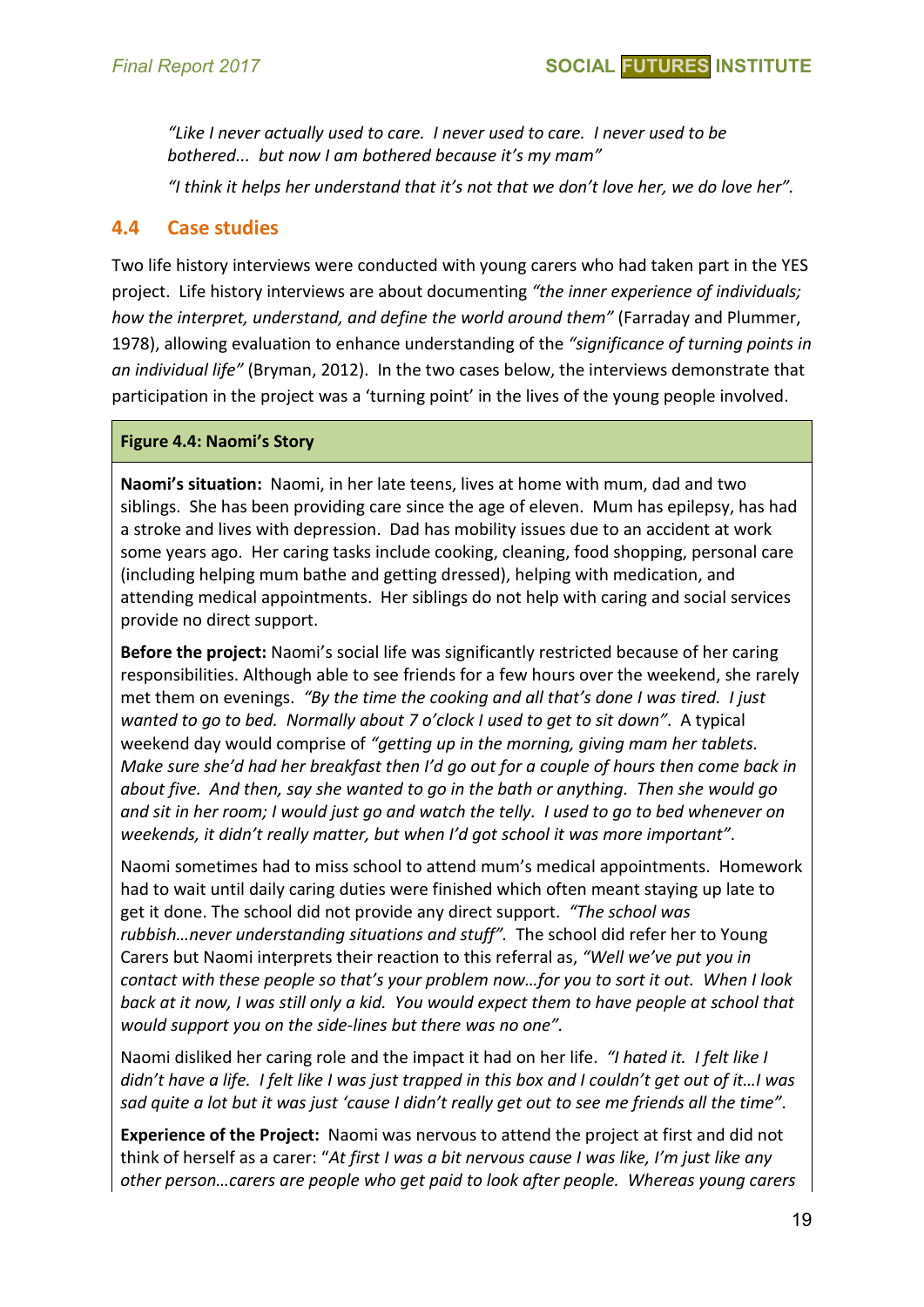*"Like I never actually used to care. I never used to care. I never used to be bothered... but now I am bothered because it's my mam"*

*"I think it helps her understand that it's not that we don't love her, we do love her".* 

#### **4.4 Case studies**

Two life history interviews were conducted with young carers who had taken part in the YES project. Life history interviews are about documenting *"the inner experience of individuals; how the interpret, understand, and define the world around them"* (Farraday and Plummer, 1978), allowing evaluation to enhance understanding of the *"significance of turning points in an individual life"* (Bryman, 2012). In the two cases below, the interviews demonstrate that participation in the project was a 'turning point' in the lives of the young people involved.

#### **Figure 4.4: Naomi's Story**

**Naomi's situation:** Naomi, in her late teens, lives at home with mum, dad and two siblings. She has been providing care since the age of eleven. Mum has epilepsy, has had a stroke and lives with depression. Dad has mobility issues due to an accident at work some years ago. Her caring tasks include cooking, cleaning, food shopping, personal care (including helping mum bathe and getting dressed), helping with medication, and attending medical appointments. Her siblings do not help with caring and social services provide no direct support.

**Before the project:** Naomi's social life was significantly restricted because of her caring responsibilities. Although able to see friends for a few hours over the weekend, she rarely met them on evenings. *"By the time the cooking and all that's done I was tired. I just wanted to go to bed. Normally about 7 o'clock I used to get to sit down"*. A typical weekend day would comprise of *"getting up in the morning, giving mam her tablets. Make sure she'd had her breakfast then I'd go out for a couple of hours then come back in about five. And then, say she wanted to go in the bath or anything. Then she would go and sit in her room; I would just go and watch the telly. I used to go to bed whenever on weekends, it didn't really matter, but when I'd got school it was more important"*.

Naomi sometimes had to miss school to attend mum's medical appointments. Homework had to wait until daily caring duties were finished which often meant staying up late to get it done. The school did not provide any direct support. *"The school was rubbish…never understanding situations and stuff".* The school did refer her to Young Carers but Naomi interprets their reaction to this referral as, *"Well we've put you in contact with these people so that's your problem now…for you to sort it out. When I look back at it now, I was still only a kid. You would expect them to have people at school that would support you on the side-lines but there was no one".*

Naomi disliked her caring role and the impact it had on her life. *"I hated it. I felt like I didn't have a life. I felt like I was just trapped in this box and I couldn't get out of it…I was sad quite a lot but it was just 'cause I didn't really get out to see me friends all the time"*.

**Experience of the Project:** Naomi was nervous to attend the project at first and did not think of herself as a carer: "*At first I was a bit nervous cause I was like, I'm just like any other person…carers are people who get paid to look after people. Whereas young carers*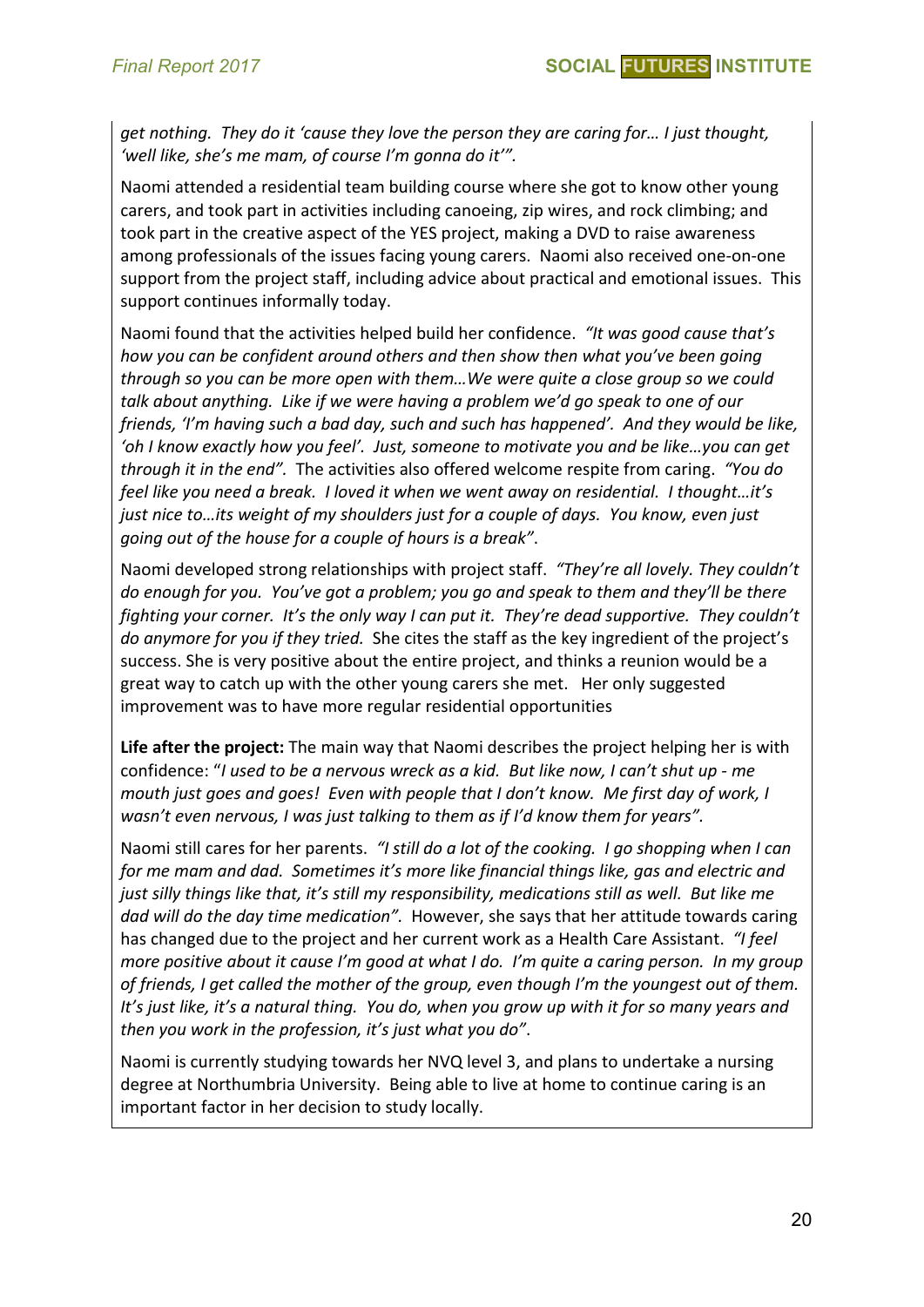*get nothing. They do it 'cause they love the person they are caring for… I just thought, 'well like, she's me mam, of course I'm gonna do it'".*

Naomi attended a residential team building course where she got to know other young carers, and took part in activities including canoeing, zip wires, and rock climbing; and took part in the creative aspect of the YES project, making a DVD to raise awareness among professionals of the issues facing young carers. Naomi also received one-on-one support from the project staff, including advice about practical and emotional issues. This support continues informally today.

Naomi found that the activities helped build her confidence. *"It was good cause that's how you can be confident around others and then show then what you've been going through so you can be more open with them…We were quite a close group so we could talk about anything. Like if we were having a problem we'd go speak to one of our friends, 'I'm having such a bad day, such and such has happened'. And they would be like, 'oh I know exactly how you feel'. Just, someone to motivate you and be like…you can get through it in the end".* The activities also offered welcome respite from caring. *"You do feel like you need a break. I loved it when we went away on residential. I thought…it's just nice to…its weight of my shoulders just for a couple of days. You know, even just going out of the house for a couple of hours is a break"*.

Naomi developed strong relationships with project staff. *"They're all lovely. They couldn't do enough for you. You've got a problem; you go and speak to them and they'll be there fighting your corner. It's the only way I can put it. They're dead supportive. They couldn't do anymore for you if they tried.* She cites the staff as the key ingredient of the project's success. She is very positive about the entire project, and thinks a reunion would be a great way to catch up with the other young carers she met. Her only suggested improvement was to have more regular residential opportunities

**Life after the project:** The main way that Naomi describes the project helping her is with confidence: "*I used to be a nervous wreck as a kid. But like now, I can't shut up - me mouth just goes and goes! Even with people that I don't know. Me first day of work, I wasn't even nervous, I was just talking to them as if I'd know them for years".*

Naomi still cares for her parents. *"I still do a lot of the cooking. I go shopping when I can for me mam and dad. Sometimes it's more like financial things like, gas and electric and just silly things like that, it's still my responsibility, medications still as well. But like me dad will do the day time medication".* However, she says that her attitude towards caring has changed due to the project and her current work as a Health Care Assistant. *"I feel more positive about it cause I'm good at what I do. I'm quite a caring person. In my group of friends, I get called the mother of the group, even though I'm the youngest out of them. It's just like, it's a natural thing. You do, when you grow up with it for so many years and then you work in the profession, it's just what you do"*.

Naomi is currently studying towards her NVQ level 3, and plans to undertake a nursing degree at Northumbria University. Being able to live at home to continue caring is an important factor in her decision to study locally.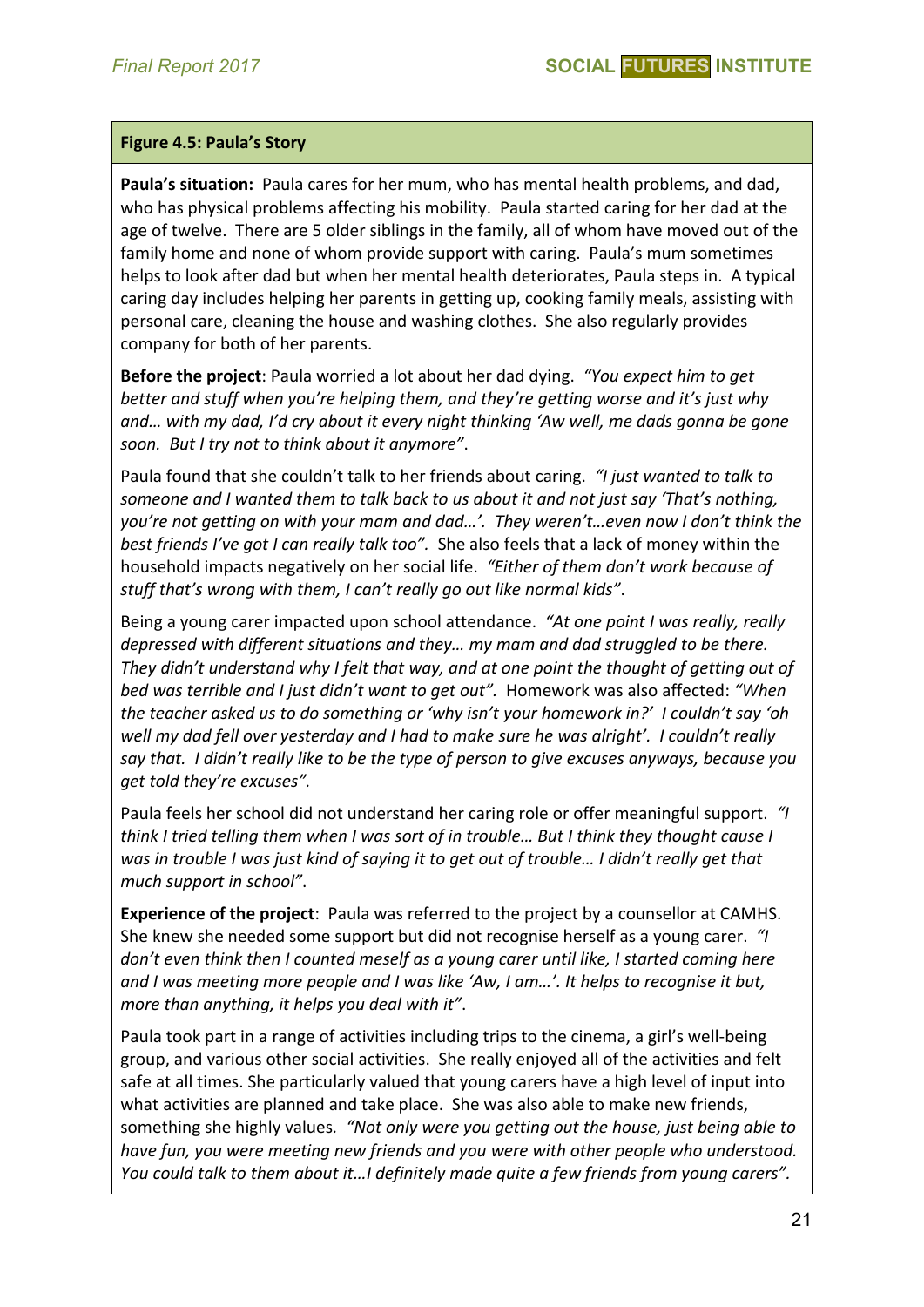#### **Figure 4.5: Paula's Story**

**Paula's situation:** Paula cares for her mum, who has mental health problems, and dad, who has physical problems affecting his mobility. Paula started caring for her dad at the age of twelve. There are 5 older siblings in the family, all of whom have moved out of the family home and none of whom provide support with caring. Paula's mum sometimes helps to look after dad but when her mental health deteriorates, Paula steps in. A typical caring day includes helping her parents in getting up, cooking family meals, assisting with personal care, cleaning the house and washing clothes. She also regularly provides company for both of her parents.

**Before the project**: Paula worried a lot about her dad dying. *"You expect him to get better and stuff when you're helping them, and they're getting worse and it's just why and… with my dad, I'd cry about it every night thinking 'Aw well, me dads gonna be gone soon. But I try not to think about it anymore"*.

Paula found that she couldn't talk to her friends about caring. *"I just wanted to talk to someone and I wanted them to talk back to us about it and not just say 'That's nothing, you're not getting on with your mam and dad…'. They weren't…even now I don't think the best friends I've got I can really talk too".* She also feels that a lack of money within the household impacts negatively on her social life. *"Either of them don't work because of stuff that's wrong with them, I can't really go out like normal kids"*.

Being a young carer impacted upon school attendance. *"At one point I was really, really depressed with different situations and they… my mam and dad struggled to be there. They didn't understand why I felt that way, and at one point the thought of getting out of bed was terrible and I just didn't want to get out".* Homework was also affected: *"When the teacher asked us to do something or 'why isn't your homework in?' I couldn't say 'oh well my dad fell over yesterday and I had to make sure he was alright'. I couldn't really say that. I didn't really like to be the type of person to give excuses anyways, because you get told they're excuses".*

Paula feels her school did not understand her caring role or offer meaningful support. *"I think I tried telling them when I was sort of in trouble… But I think they thought cause I was in trouble I was just kind of saying it to get out of trouble… I didn't really get that much support in school"*.

**Experience of the project**: Paula was referred to the project by a counsellor at CAMHS. She knew she needed some support but did not recognise herself as a young carer. *"I don't even think then I counted meself as a young carer until like, I started coming here and I was meeting more people and I was like 'Aw, I am…'. It helps to recognise it but, more than anything, it helps you deal with it"*.

Paula took part in a range of activities including trips to the cinema, a girl's well-being group, and various other social activities. She really enjoyed all of the activities and felt safe at all times. She particularly valued that young carers have a high level of input into what activities are planned and take place. She was also able to make new friends, something she highly values*. "Not only were you getting out the house, just being able to have fun, you were meeting new friends and you were with other people who understood. You could talk to them about it…I definitely made quite a few friends from young carers".*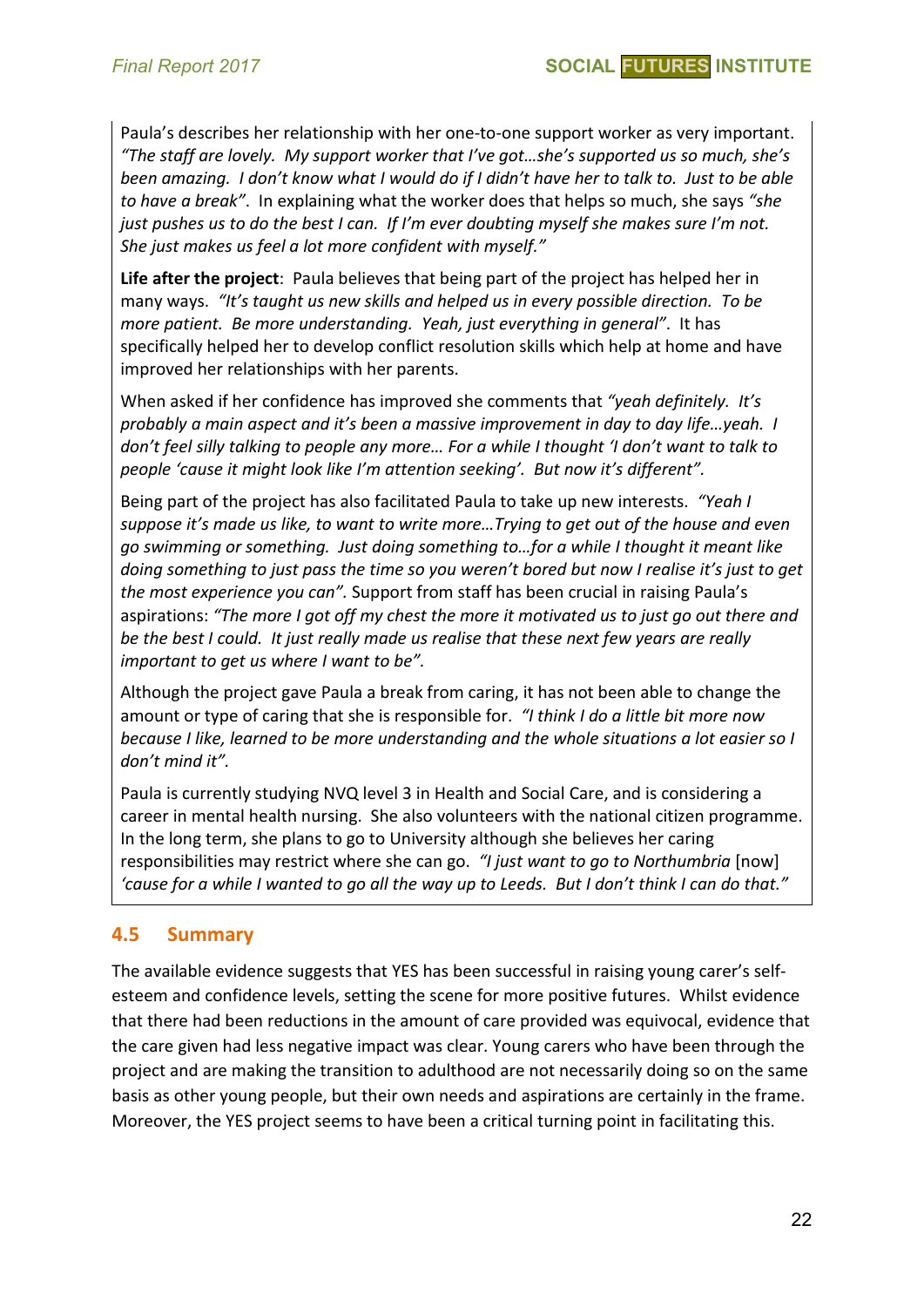Paula's describes her relationship with her one-to-one support worker as very important. *"The staff are lovely. My support worker that I've got…she's supported us so much, she's been amazing. I don't know what I would do if I didn't have her to talk to. Just to be able to have a break"*. In explaining what the worker does that helps so much, she says *"she just pushes us to do the best I can. If I'm ever doubting myself she makes sure I'm not. She just makes us feel a lot more confident with myself."*

**Life after the project**: Paula believes that being part of the project has helped her in many ways. *"It's taught us new skills and helped us in every possible direction. To be more patient. Be more understanding. Yeah, just everything in general"*. It has specifically helped her to develop conflict resolution skills which help at home and have improved her relationships with her parents.

When asked if her confidence has improved she comments that *"yeah definitely. It's probably a main aspect and it's been a massive improvement in day to day life…yeah. I don't feel silly talking to people any more… For a while I thought 'I don't want to talk to people 'cause it might look like I'm attention seeking'. But now it's different".*

Being part of the project has also facilitated Paula to take up new interests. *"Yeah I suppose it's made us like, to want to write more…Trying to get out of the house and even go swimming or something. Just doing something to…for a while I thought it meant like doing something to just pass the time so you weren't bored but now I realise it's just to get the most experience you can".* Support from staff has been crucial in raising Paula's aspirations: *"The more I got off my chest the more it motivated us to just go out there and be the best I could. It just really made us realise that these next few years are really important to get us where I want to be".*

Although the project gave Paula a break from caring, it has not been able to change the amount or type of caring that she is responsible for. *"I think I do a little bit more now because I like, learned to be more understanding and the whole situations a lot easier so I don't mind it".* 

Paula is currently studying NVQ level 3 in Health and Social Care, and is considering a career in mental health nursing. She also volunteers with the national citizen programme. In the long term, she plans to go to University although she believes her caring responsibilities may restrict where she can go. *"I just want to go to Northumbria* [now] *'cause for a while I wanted to go all the way up to Leeds. But I don't think I can do that."*

#### **4.5 Summary**

The available evidence suggests that YES has been successful in raising young carer's selfesteem and confidence levels, setting the scene for more positive futures. Whilst evidence that there had been reductions in the amount of care provided was equivocal, evidence that the care given had less negative impact was clear. Young carers who have been through the project and are making the transition to adulthood are not necessarily doing so on the same basis as other young people, but their own needs and aspirations are certainly in the frame. Moreover, the YES project seems to have been a critical turning point in facilitating this.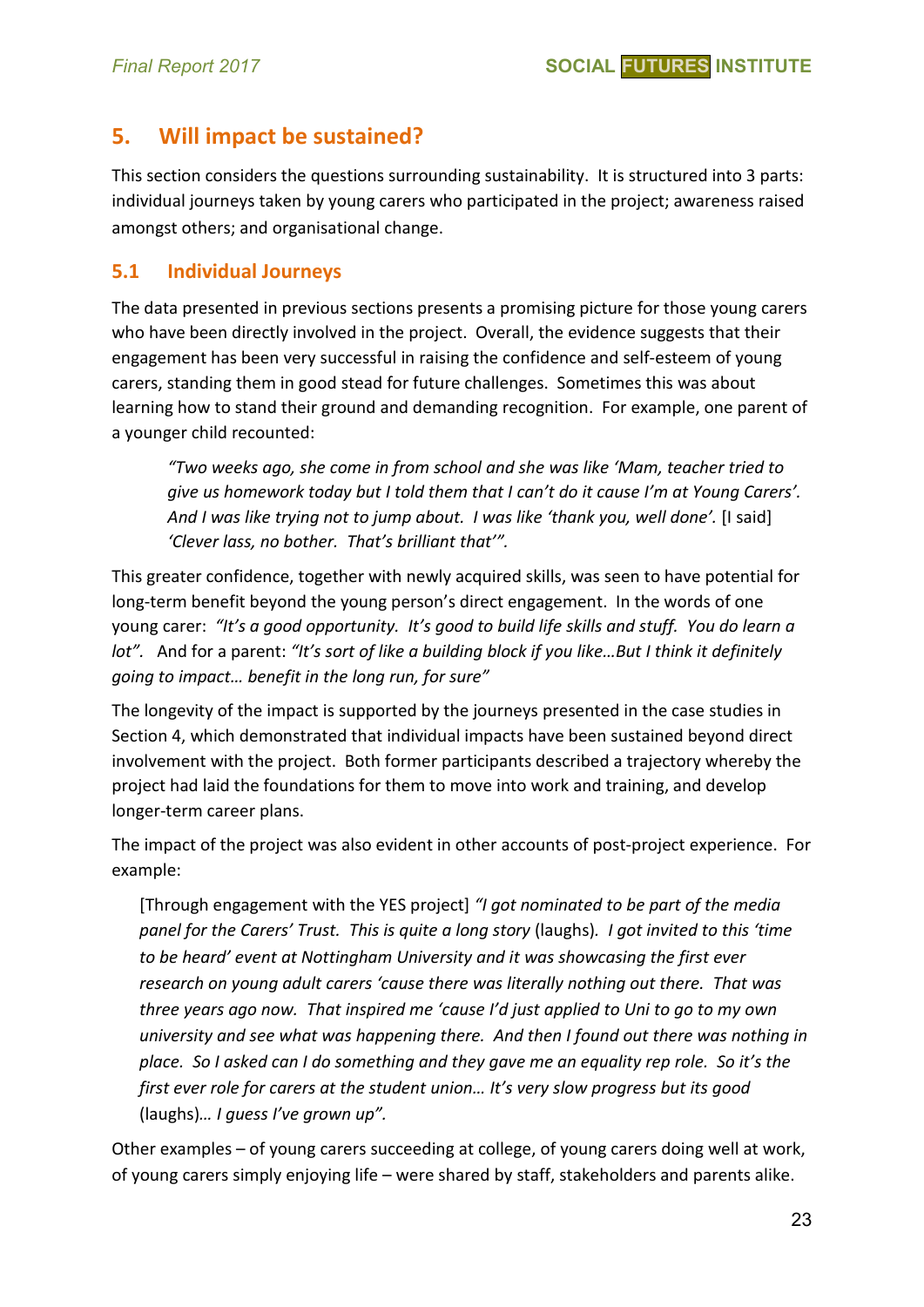# **5. Will impact be sustained?**

This section considers the questions surrounding sustainability. It is structured into 3 parts: individual journeys taken by young carers who participated in the project; awareness raised amongst others; and organisational change.

#### **5.1 Individual Journeys**

The data presented in previous sections presents a promising picture for those young carers who have been directly involved in the project. Overall, the evidence suggests that their engagement has been very successful in raising the confidence and self-esteem of young carers, standing them in good stead for future challenges. Sometimes this was about learning how to stand their ground and demanding recognition. For example, one parent of a younger child recounted:

*"Two weeks ago, she come in from school and she was like 'Mam, teacher tried to give us homework today but I told them that I can't do it cause I'm at Young Carers'.*  And I was like trying not to jump about. I was like 'thank you, well done'. [I said] *'Clever lass, no bother. That's brilliant that'".*

This greater confidence, together with newly acquired skills, was seen to have potential for long-term benefit beyond the young person's direct engagement. In the words of one young carer: *"It's a good opportunity. It's good to build life skills and stuff. You do learn a lot".* And for a parent: *"It's sort of like a building block if you like…But I think it definitely going to impact… benefit in the long run, for sure"*

The longevity of the impact is supported by the journeys presented in the case studies in Section 4, which demonstrated that individual impacts have been sustained beyond direct involvement with the project. Both former participants described a trajectory whereby the project had laid the foundations for them to move into work and training, and develop longer-term career plans.

The impact of the project was also evident in other accounts of post-project experience. For example:

[Through engagement with the YES project] *"I got nominated to be part of the media panel for the Carers' Trust. This is quite a long story* (laughs)*. I got invited to this 'time to be heard' event at Nottingham University and it was showcasing the first ever research on young adult carers 'cause there was literally nothing out there. That was three years ago now. That inspired me 'cause I'd just applied to Uni to go to my own university and see what was happening there. And then I found out there was nothing in place. So I asked can I do something and they gave me an equality rep role. So it's the first ever role for carers at the student union… It's very slow progress but its good*  (laughs)*… I guess I've grown up".*

Other examples – of young carers succeeding at college, of young carers doing well at work, of young carers simply enjoying life – were shared by staff, stakeholders and parents alike.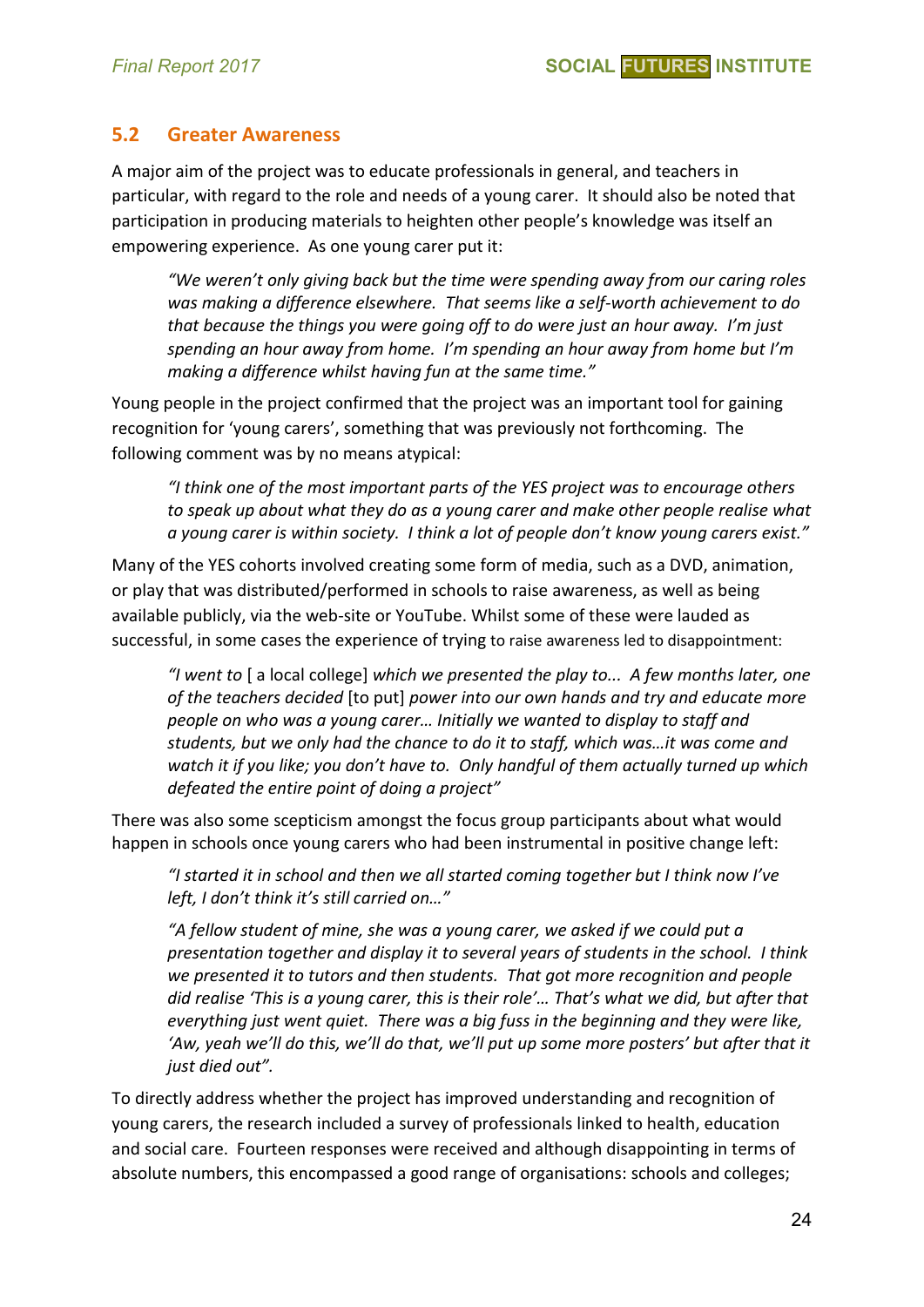#### **5.2 Greater Awareness**

A major aim of the project was to educate professionals in general, and teachers in particular, with regard to the role and needs of a young carer. It should also be noted that participation in producing materials to heighten other people's knowledge was itself an empowering experience. As one young carer put it:

*"We weren't only giving back but the time were spending away from our caring roles was making a difference elsewhere. That seems like a self-worth achievement to do that because the things you were going off to do were just an hour away. I'm just spending an hour away from home. I'm spending an hour away from home but I'm making a difference whilst having fun at the same time."*

Young people in the project confirmed that the project was an important tool for gaining recognition for 'young carers', something that was previously not forthcoming. The following comment was by no means atypical:

*"I think one of the most important parts of the YES project was to encourage others to speak up about what they do as a young carer and make other people realise what a young carer is within society. I think a lot of people don't know young carers exist."* 

Many of the YES cohorts involved creating some form of media, such as a DVD, animation, or play that was distributed/performed in schools to raise awareness, as well as being available publicly, via the web-site or YouTube. Whilst some of these were lauded as successful, in some cases the experience of trying to raise awareness led to disappointment:

*"I went to* [ a local college] *which we presented the play to... A few months later, one of the teachers decided* [to put] *power into our own hands and try and educate more people on who was a young carer… Initially we wanted to display to staff and students, but we only had the chance to do it to staff, which was…it was come and watch it if you like; you don't have to. Only handful of them actually turned up which defeated the entire point of doing a project"*

There was also some scepticism amongst the focus group participants about what would happen in schools once young carers who had been instrumental in positive change left:

*"I started it in school and then we all started coming together but I think now I've left, I don't think it's still carried on…"*

*"A fellow student of mine, she was a young carer, we asked if we could put a presentation together and display it to several years of students in the school. I think we presented it to tutors and then students. That got more recognition and people did realise 'This is a young carer, this is their role'… That's what we did, but after that everything just went quiet. There was a big fuss in the beginning and they were like, 'Aw, yeah we'll do this, we'll do that, we'll put up some more posters' but after that it just died out".*

To directly address whether the project has improved understanding and recognition of young carers, the research included a survey of professionals linked to health, education and social care. Fourteen responses were received and although disappointing in terms of absolute numbers, this encompassed a good range of organisations: schools and colleges;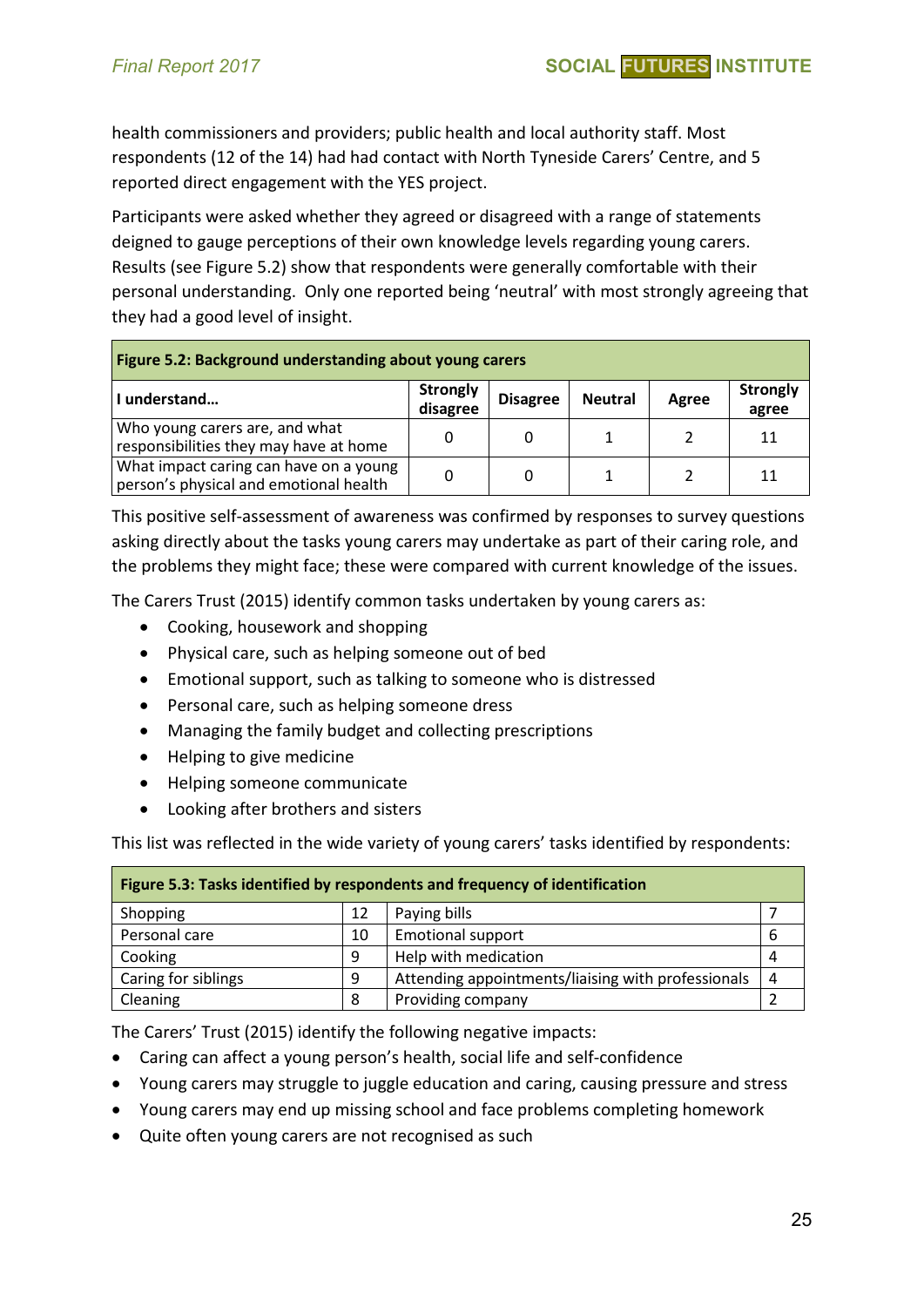health commissioners and providers; public health and local authority staff. Most respondents (12 of the 14) had had contact with North Tyneside Carers' Centre, and 5 reported direct engagement with the YES project.

Participants were asked whether they agreed or disagreed with a range of statements deigned to gauge perceptions of their own knowledge levels regarding young carers. Results (see Figure 5.2) show that respondents were generally comfortable with their personal understanding. Only one reported being 'neutral' with most strongly agreeing that they had a good level of insight.

| Figure 5.2: Background understanding about young carers                          |                             |                 |                |       |                          |  |  |
|----------------------------------------------------------------------------------|-----------------------------|-----------------|----------------|-------|--------------------------|--|--|
| I understand                                                                     | <b>Strongly</b><br>disagree | <b>Disagree</b> | <b>Neutral</b> | Agree | <b>Strongly</b><br>agree |  |  |
| Who young carers are, and what<br>responsibilities they may have at home         | 0                           | 0               |                |       | 11                       |  |  |
| What impact caring can have on a young<br>person's physical and emotional health | 0                           | 0               |                |       | 11                       |  |  |

This positive self-assessment of awareness was confirmed by responses to survey questions asking directly about the tasks young carers may undertake as part of their caring role, and the problems they might face; these were compared with current knowledge of the issues.

The Carers Trust (2015) identify common tasks undertaken by young carers as:

- Cooking, housework and shopping
- Physical care, such as helping someone out of bed
- Emotional support, such as talking to someone who is distressed
- Personal care, such as helping someone dress
- Managing the family budget and collecting prescriptions
- Helping to give medicine
- Helping someone communicate
- Looking after brothers and sisters

This list was reflected in the wide variety of young carers' tasks identified by respondents:

| Figure 5.3: Tasks identified by respondents and frequency of identification |    |                                                    |   |  |  |  |  |  |
|-----------------------------------------------------------------------------|----|----------------------------------------------------|---|--|--|--|--|--|
| Shopping                                                                    | 12 | Paying bills                                       |   |  |  |  |  |  |
| Personal care                                                               | 10 | <b>Emotional support</b>                           | b |  |  |  |  |  |
| Cooking                                                                     | 9  | Help with medication                               |   |  |  |  |  |  |
| Caring for siblings                                                         | 9  | Attending appointments/liaising with professionals | 4 |  |  |  |  |  |
| Cleaning                                                                    | 8  | Providing company                                  |   |  |  |  |  |  |

The Carers' Trust (2015) identify the following negative impacts:

- Caring can affect a young person's health, social life and self-confidence
- Young carers may struggle to juggle education and caring, causing pressure and stress
- Young carers may end up missing school and face problems completing homework
- Quite often young carers are not recognised as such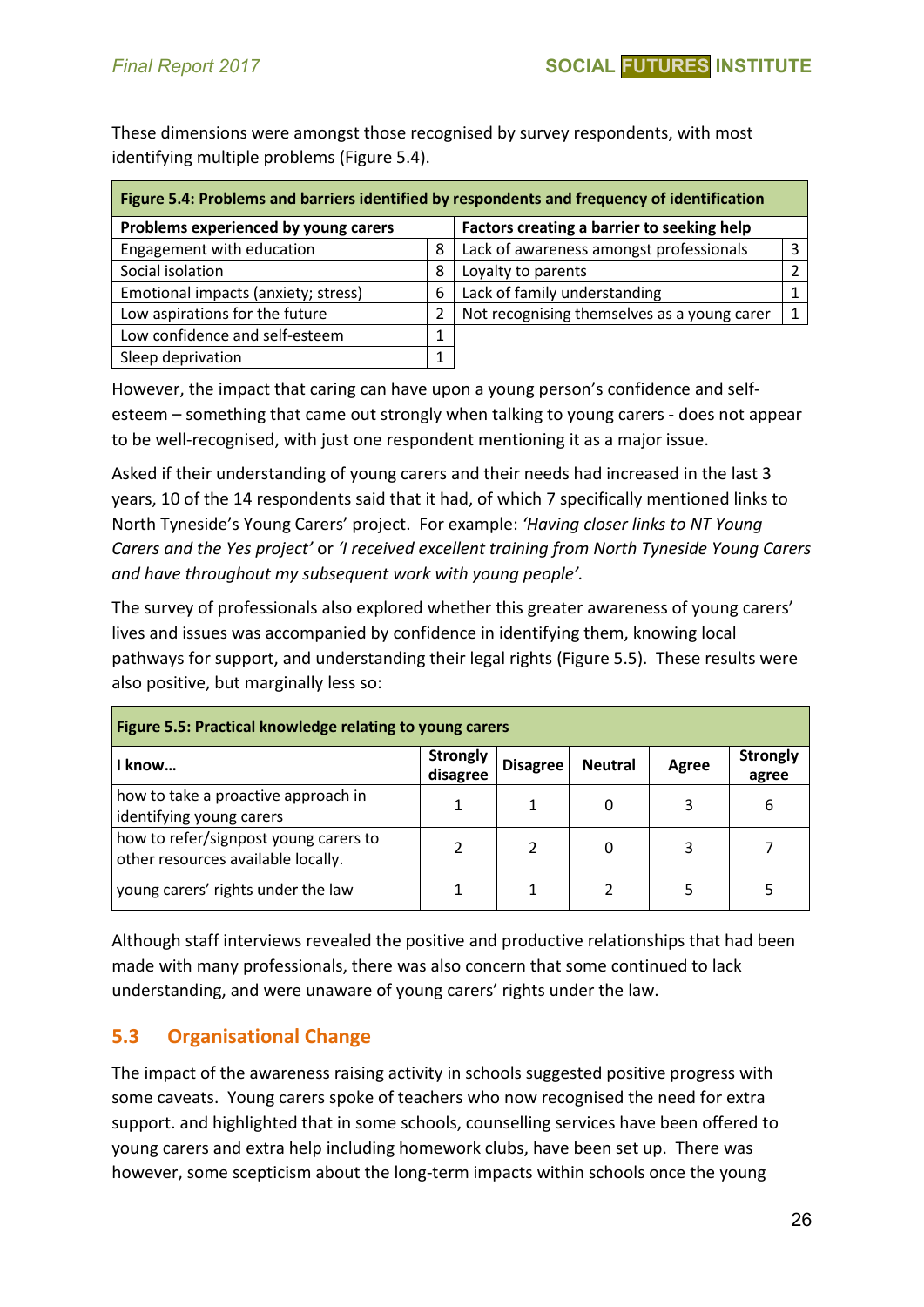These dimensions were amongst those recognised by survey respondents, with most identifying multiple problems (Figure 5.4).

| Figure 5.4: Problems and barriers identified by respondents and frequency of identification |   |                                             |  |  |  |  |  |
|---------------------------------------------------------------------------------------------|---|---------------------------------------------|--|--|--|--|--|
| Problems experienced by young carers<br>Factors creating a barrier to seeking help          |   |                                             |  |  |  |  |  |
| Engagement with education                                                                   | 8 | Lack of awareness amongst professionals     |  |  |  |  |  |
| Social isolation                                                                            | 8 | Loyalty to parents                          |  |  |  |  |  |
| Emotional impacts (anxiety; stress)                                                         | 6 | Lack of family understanding                |  |  |  |  |  |
| Low aspirations for the future                                                              | 2 | Not recognising themselves as a young carer |  |  |  |  |  |
| Low confidence and self-esteem                                                              | л |                                             |  |  |  |  |  |
| Sleep deprivation                                                                           | 4 |                                             |  |  |  |  |  |

However, the impact that caring can have upon a young person's confidence and selfesteem – something that came out strongly when talking to young carers - does not appear to be well-recognised, with just one respondent mentioning it as a major issue.

Asked if their understanding of young carers and their needs had increased in the last 3 years, 10 of the 14 respondents said that it had, of which 7 specifically mentioned links to North Tyneside's Young Carers' project. For example: *'Having closer links to NT Young Carers and the Yes project'* or *'I received excellent training from North Tyneside Young Carers and have throughout my subsequent work with young people'.* 

The survey of professionals also explored whether this greater awareness of young carers' lives and issues was accompanied by confidence in identifying them, knowing local pathways for support, and understanding their legal rights (Figure 5.5). These results were also positive, but marginally less so:

| Figure 5.5: Practical knowledge relating to young carers                    |                             |                 |                |       |                          |  |  |  |
|-----------------------------------------------------------------------------|-----------------------------|-----------------|----------------|-------|--------------------------|--|--|--|
| l know                                                                      | <b>Strongly</b><br>disagree | <b>Disagree</b> | <b>Neutral</b> | Agree | <b>Strongly</b><br>agree |  |  |  |
| how to take a proactive approach in<br>identifying young carers             |                             |                 |                |       | 6                        |  |  |  |
| how to refer/signpost young carers to<br>other resources available locally. |                             |                 |                | 3     |                          |  |  |  |
| young carers' rights under the law                                          |                             |                 |                |       |                          |  |  |  |

Although staff interviews revealed the positive and productive relationships that had been made with many professionals, there was also concern that some continued to lack understanding, and were unaware of young carers' rights under the law.

# **5.3 Organisational Change**

The impact of the awareness raising activity in schools suggested positive progress with some caveats. Young carers spoke of teachers who now recognised the need for extra support. and highlighted that in some schools, counselling services have been offered to young carers and extra help including homework clubs, have been set up. There was however, some scepticism about the long-term impacts within schools once the young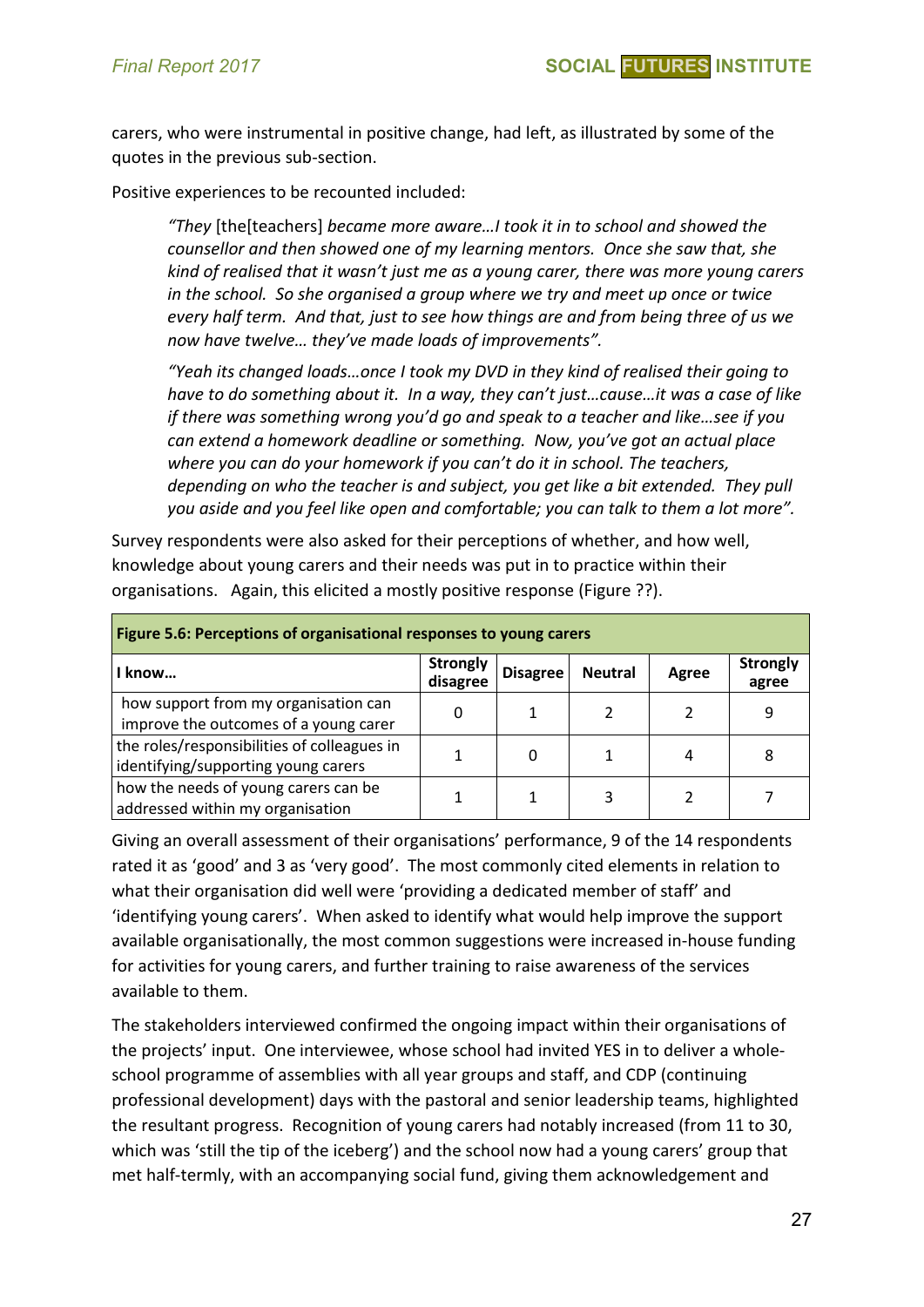carers, who were instrumental in positive change, had left, as illustrated by some of the quotes in the previous sub-section.

Positive experiences to be recounted included:

*"They* [the[teachers] *became more aware…I took it in to school and showed the counsellor and then showed one of my learning mentors. Once she saw that, she kind of realised that it wasn't just me as a young carer, there was more young carers in the school. So she organised a group where we try and meet up once or twice every half term. And that, just to see how things are and from being three of us we now have twelve… they've made loads of improvements".*

*"Yeah its changed loads…once I took my DVD in they kind of realised their going to have to do something about it. In a way, they can't just…cause…it was a case of like if there was something wrong you'd go and speak to a teacher and like…see if you can extend a homework deadline or something. Now, you've got an actual place where you can do your homework if you can't do it in school. The teachers, depending on who the teacher is and subject, you get like a bit extended. They pull you aside and you feel like open and comfortable; you can talk to them a lot more".*

Survey respondents were also asked for their perceptions of whether, and how well, knowledge about young carers and their needs was put in to practice within their organisations. Again, this elicited a mostly positive response (Figure ??).

| Figure 5.6: Perceptions of organisational responses to young carers                |                             |                 |                |       |                          |  |  |
|------------------------------------------------------------------------------------|-----------------------------|-----------------|----------------|-------|--------------------------|--|--|
| I know                                                                             | <b>Strongly</b><br>disagree | <b>Disagree</b> | <b>Neutral</b> | Agree | <b>Strongly</b><br>agree |  |  |
| how support from my organisation can<br>improve the outcomes of a young carer      | 0                           |                 |                |       | 9                        |  |  |
| the roles/responsibilities of colleagues in<br>identifying/supporting young carers |                             | 0               |                | 4     | 8                        |  |  |
| how the needs of young carers can be<br>addressed within my organisation           |                             |                 |                |       |                          |  |  |

Giving an overall assessment of their organisations' performance, 9 of the 14 respondents rated it as 'good' and 3 as 'very good'. The most commonly cited elements in relation to what their organisation did well were 'providing a dedicated member of staff' and 'identifying young carers'. When asked to identify what would help improve the support available organisationally, the most common suggestions were increased in-house funding for activities for young carers, and further training to raise awareness of the services available to them.

The stakeholders interviewed confirmed the ongoing impact within their organisations of the projects' input. One interviewee, whose school had invited YES in to deliver a wholeschool programme of assemblies with all year groups and staff, and CDP (continuing professional development) days with the pastoral and senior leadership teams, highlighted the resultant progress. Recognition of young carers had notably increased (from 11 to 30, which was 'still the tip of the iceberg') and the school now had a young carers' group that met half-termly, with an accompanying social fund, giving them acknowledgement and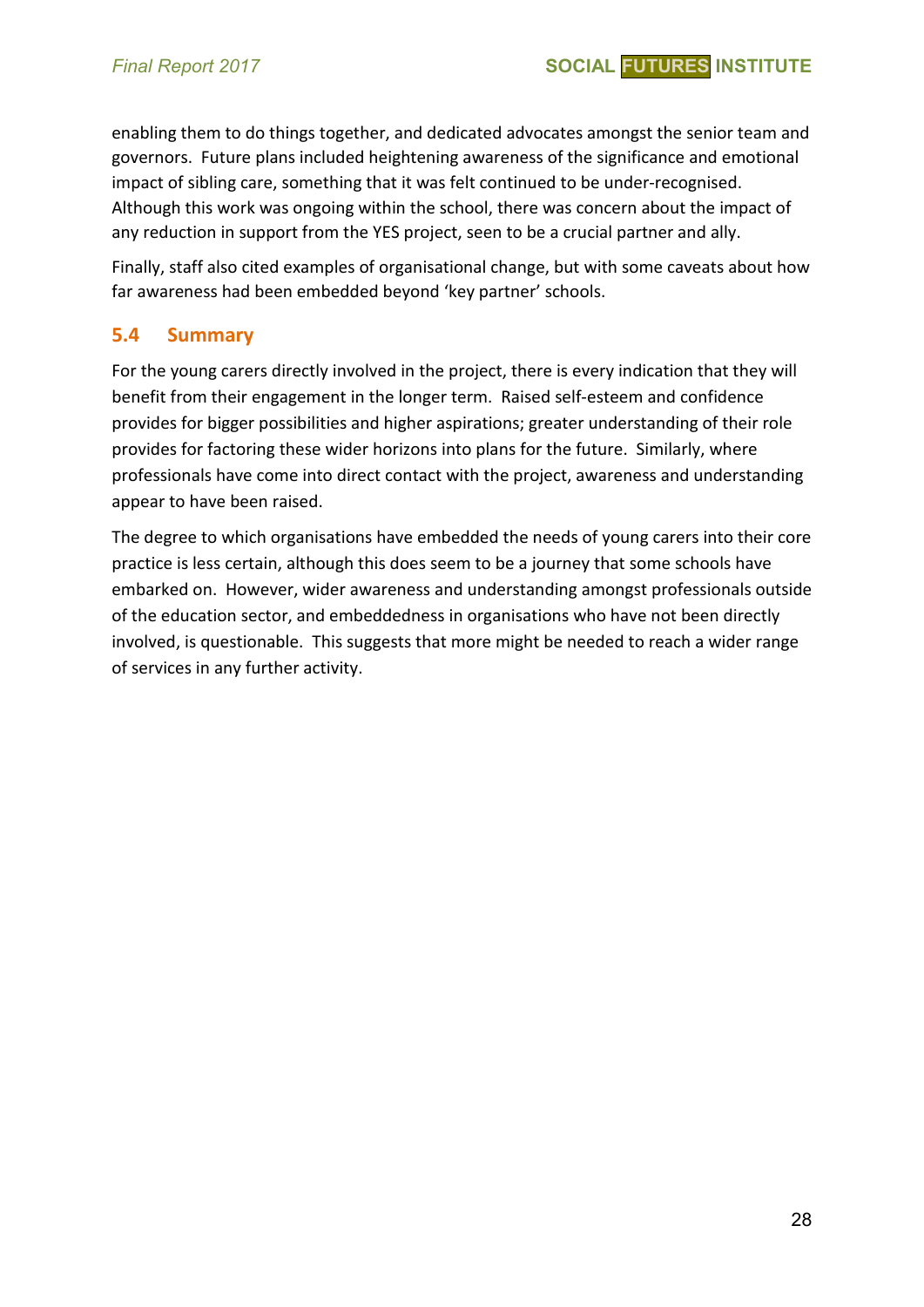enabling them to do things together, and dedicated advocates amongst the senior team and governors. Future plans included heightening awareness of the significance and emotional impact of sibling care, something that it was felt continued to be under-recognised. Although this work was ongoing within the school, there was concern about the impact of any reduction in support from the YES project, seen to be a crucial partner and ally.

Finally, staff also cited examples of organisational change, but with some caveats about how far awareness had been embedded beyond 'key partner' schools.

#### **5.4 Summary**

For the young carers directly involved in the project, there is every indication that they will benefit from their engagement in the longer term. Raised self-esteem and confidence provides for bigger possibilities and higher aspirations; greater understanding of their role provides for factoring these wider horizons into plans for the future. Similarly, where professionals have come into direct contact with the project, awareness and understanding appear to have been raised.

The degree to which organisations have embedded the needs of young carers into their core practice is less certain, although this does seem to be a journey that some schools have embarked on. However, wider awareness and understanding amongst professionals outside of the education sector, and embeddedness in organisations who have not been directly involved, is questionable. This suggests that more might be needed to reach a wider range of services in any further activity.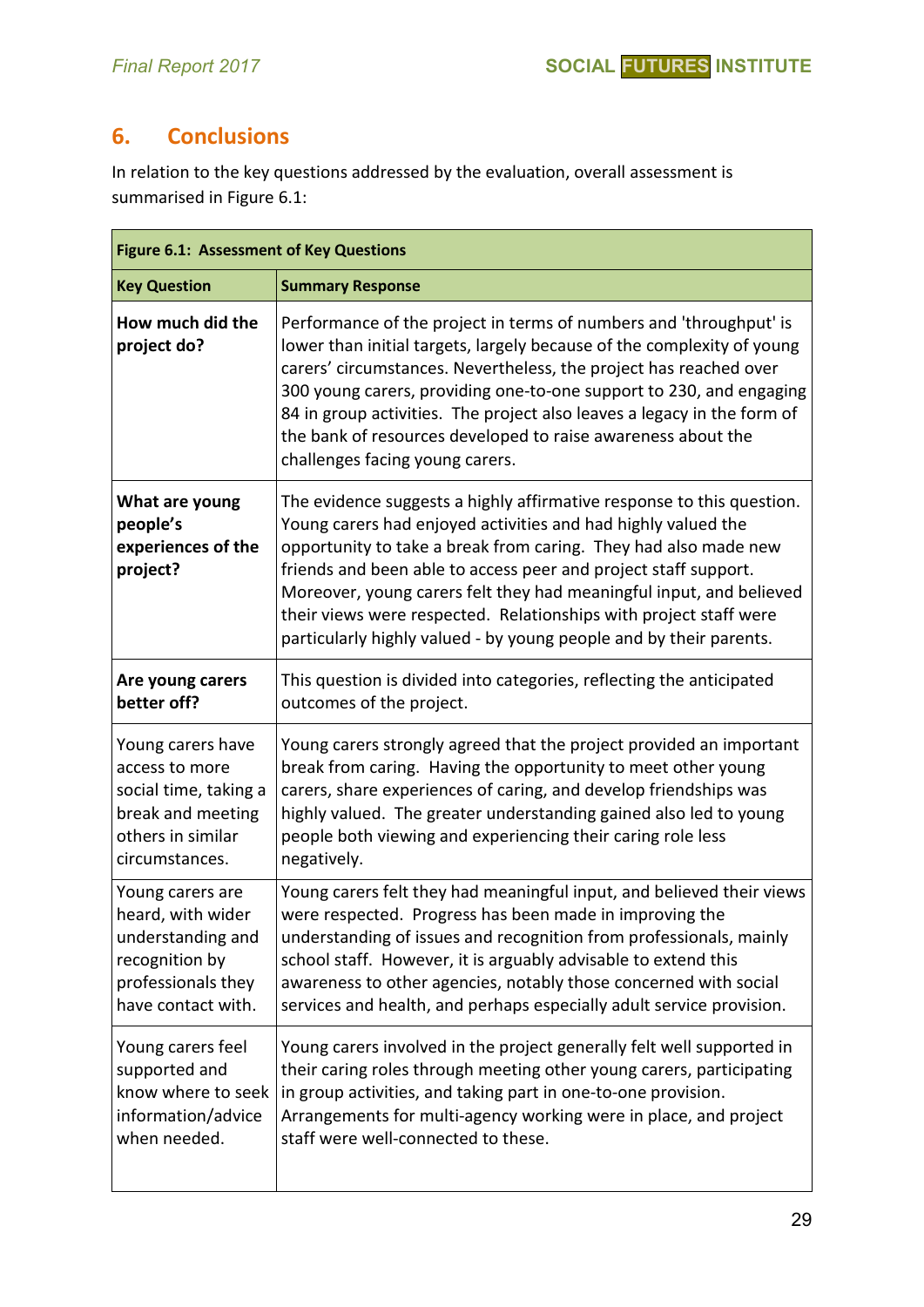# **6. Conclusions**

In relation to the key questions addressed by the evaluation, overall assessment is summarised in Figure 6.1:

|                                                              | <b>Figure 6.1: Assessment of Key Questions</b>                                                                                                                                                                                                                                                                                                                                                                                                                                                 |  |  |  |  |  |  |  |
|--------------------------------------------------------------|------------------------------------------------------------------------------------------------------------------------------------------------------------------------------------------------------------------------------------------------------------------------------------------------------------------------------------------------------------------------------------------------------------------------------------------------------------------------------------------------|--|--|--|--|--|--|--|
| <b>Key Question</b>                                          | <b>Summary Response</b>                                                                                                                                                                                                                                                                                                                                                                                                                                                                        |  |  |  |  |  |  |  |
| How much did the<br>project do?                              | Performance of the project in terms of numbers and 'throughput' is<br>lower than initial targets, largely because of the complexity of young<br>carers' circumstances. Nevertheless, the project has reached over<br>300 young carers, providing one-to-one support to 230, and engaging<br>84 in group activities. The project also leaves a legacy in the form of<br>the bank of resources developed to raise awareness about the<br>challenges facing young carers.                         |  |  |  |  |  |  |  |
| What are young<br>people's<br>experiences of the<br>project? | The evidence suggests a highly affirmative response to this question.<br>Young carers had enjoyed activities and had highly valued the<br>opportunity to take a break from caring. They had also made new<br>friends and been able to access peer and project staff support.<br>Moreover, young carers felt they had meaningful input, and believed<br>their views were respected. Relationships with project staff were<br>particularly highly valued - by young people and by their parents. |  |  |  |  |  |  |  |
| Are young carers                                             | This question is divided into categories, reflecting the anticipated                                                                                                                                                                                                                                                                                                                                                                                                                           |  |  |  |  |  |  |  |
| better off?                                                  | outcomes of the project.                                                                                                                                                                                                                                                                                                                                                                                                                                                                       |  |  |  |  |  |  |  |
| Young carers have                                            | Young carers strongly agreed that the project provided an important                                                                                                                                                                                                                                                                                                                                                                                                                            |  |  |  |  |  |  |  |
| access to more                                               | break from caring. Having the opportunity to meet other young                                                                                                                                                                                                                                                                                                                                                                                                                                  |  |  |  |  |  |  |  |
| social time, taking a                                        | carers, share experiences of caring, and develop friendships was                                                                                                                                                                                                                                                                                                                                                                                                                               |  |  |  |  |  |  |  |
| break and meeting                                            | highly valued. The greater understanding gained also led to young                                                                                                                                                                                                                                                                                                                                                                                                                              |  |  |  |  |  |  |  |
| others in similar                                            | people both viewing and experiencing their caring role less                                                                                                                                                                                                                                                                                                                                                                                                                                    |  |  |  |  |  |  |  |
| circumstances.                                               | negatively.                                                                                                                                                                                                                                                                                                                                                                                                                                                                                    |  |  |  |  |  |  |  |
| Young carers are                                             | Young carers felt they had meaningful input, and believed their views                                                                                                                                                                                                                                                                                                                                                                                                                          |  |  |  |  |  |  |  |
| heard, with wider                                            | were respected. Progress has been made in improving the                                                                                                                                                                                                                                                                                                                                                                                                                                        |  |  |  |  |  |  |  |
| understanding and                                            | understanding of issues and recognition from professionals, mainly                                                                                                                                                                                                                                                                                                                                                                                                                             |  |  |  |  |  |  |  |
| recognition by                                               | school staff. However, it is arguably advisable to extend this                                                                                                                                                                                                                                                                                                                                                                                                                                 |  |  |  |  |  |  |  |
| professionals they                                           | awareness to other agencies, notably those concerned with social                                                                                                                                                                                                                                                                                                                                                                                                                               |  |  |  |  |  |  |  |
| have contact with.                                           | services and health, and perhaps especially adult service provision.                                                                                                                                                                                                                                                                                                                                                                                                                           |  |  |  |  |  |  |  |
| Young carers feel                                            | Young carers involved in the project generally felt well supported in                                                                                                                                                                                                                                                                                                                                                                                                                          |  |  |  |  |  |  |  |
| supported and                                                | their caring roles through meeting other young carers, participating                                                                                                                                                                                                                                                                                                                                                                                                                           |  |  |  |  |  |  |  |
| know where to seek                                           | in group activities, and taking part in one-to-one provision.                                                                                                                                                                                                                                                                                                                                                                                                                                  |  |  |  |  |  |  |  |
| information/advice                                           | Arrangements for multi-agency working were in place, and project                                                                                                                                                                                                                                                                                                                                                                                                                               |  |  |  |  |  |  |  |
| when needed.                                                 | staff were well-connected to these.                                                                                                                                                                                                                                                                                                                                                                                                                                                            |  |  |  |  |  |  |  |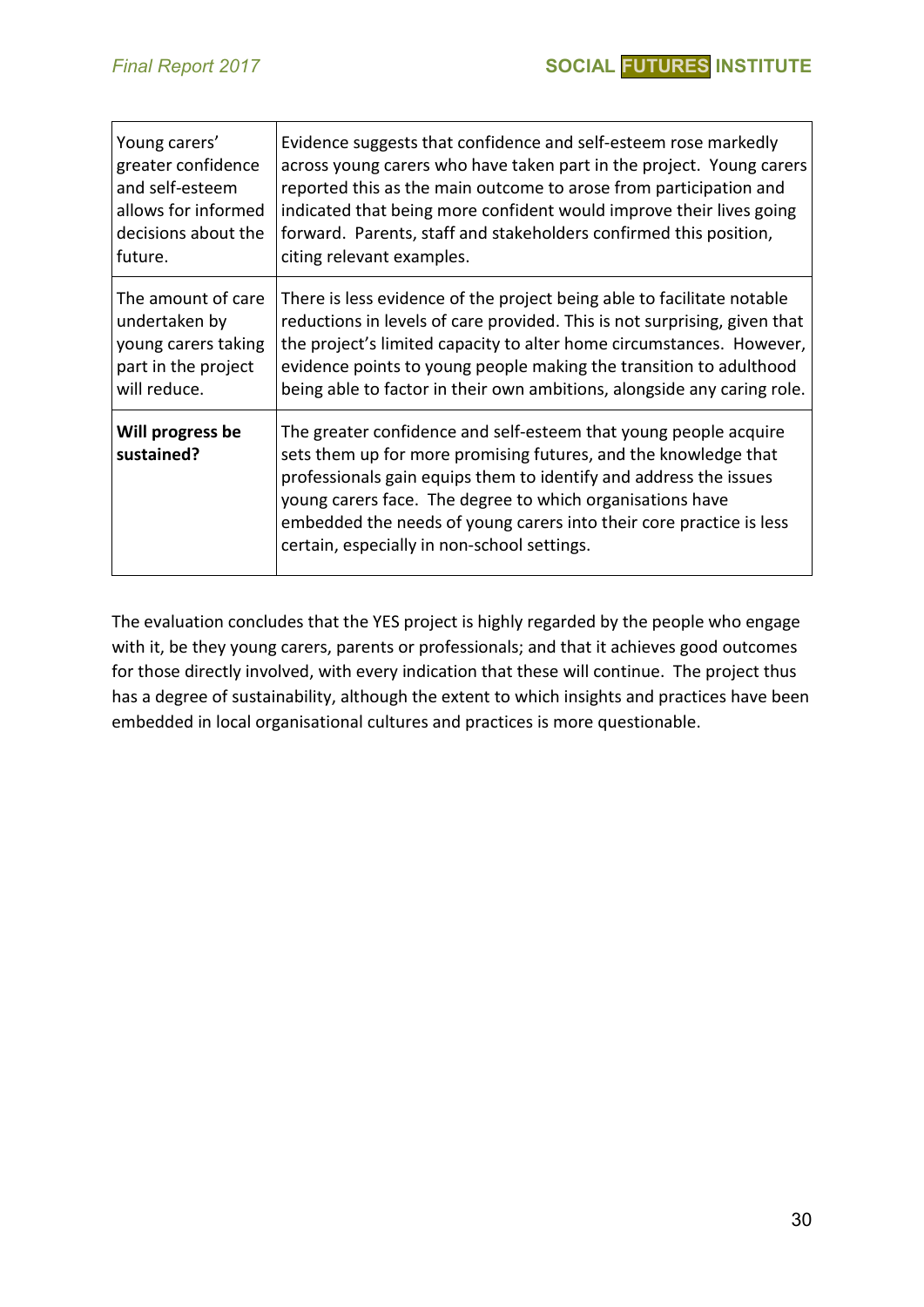| Young carers'                  | Evidence suggests that confidence and self-esteem rose markedly                                                                                                                                                                                                                                                                                                                             |
|--------------------------------|---------------------------------------------------------------------------------------------------------------------------------------------------------------------------------------------------------------------------------------------------------------------------------------------------------------------------------------------------------------------------------------------|
| greater confidence             | across young carers who have taken part in the project. Young carers                                                                                                                                                                                                                                                                                                                        |
| and self-esteem                | reported this as the main outcome to arose from participation and                                                                                                                                                                                                                                                                                                                           |
| allows for informed            | indicated that being more confident would improve their lives going                                                                                                                                                                                                                                                                                                                         |
| decisions about the            | forward. Parents, staff and stakeholders confirmed this position,                                                                                                                                                                                                                                                                                                                           |
| future.                        | citing relevant examples.                                                                                                                                                                                                                                                                                                                                                                   |
| The amount of care             | There is less evidence of the project being able to facilitate notable                                                                                                                                                                                                                                                                                                                      |
| undertaken by                  | reductions in levels of care provided. This is not surprising, given that                                                                                                                                                                                                                                                                                                                   |
| young carers taking            | the project's limited capacity to alter home circumstances. However,                                                                                                                                                                                                                                                                                                                        |
| part in the project            | evidence points to young people making the transition to adulthood                                                                                                                                                                                                                                                                                                                          |
| will reduce.                   | being able to factor in their own ambitions, alongside any caring role.                                                                                                                                                                                                                                                                                                                     |
| Will progress be<br>sustained? | The greater confidence and self-esteem that young people acquire<br>sets them up for more promising futures, and the knowledge that<br>professionals gain equips them to identify and address the issues<br>young carers face. The degree to which organisations have<br>embedded the needs of young carers into their core practice is less<br>certain, especially in non-school settings. |

The evaluation concludes that the YES project is highly regarded by the people who engage with it, be they young carers, parents or professionals; and that it achieves good outcomes for those directly involved, with every indication that these will continue. The project thus has a degree of sustainability, although the extent to which insights and practices have been embedded in local organisational cultures and practices is more questionable.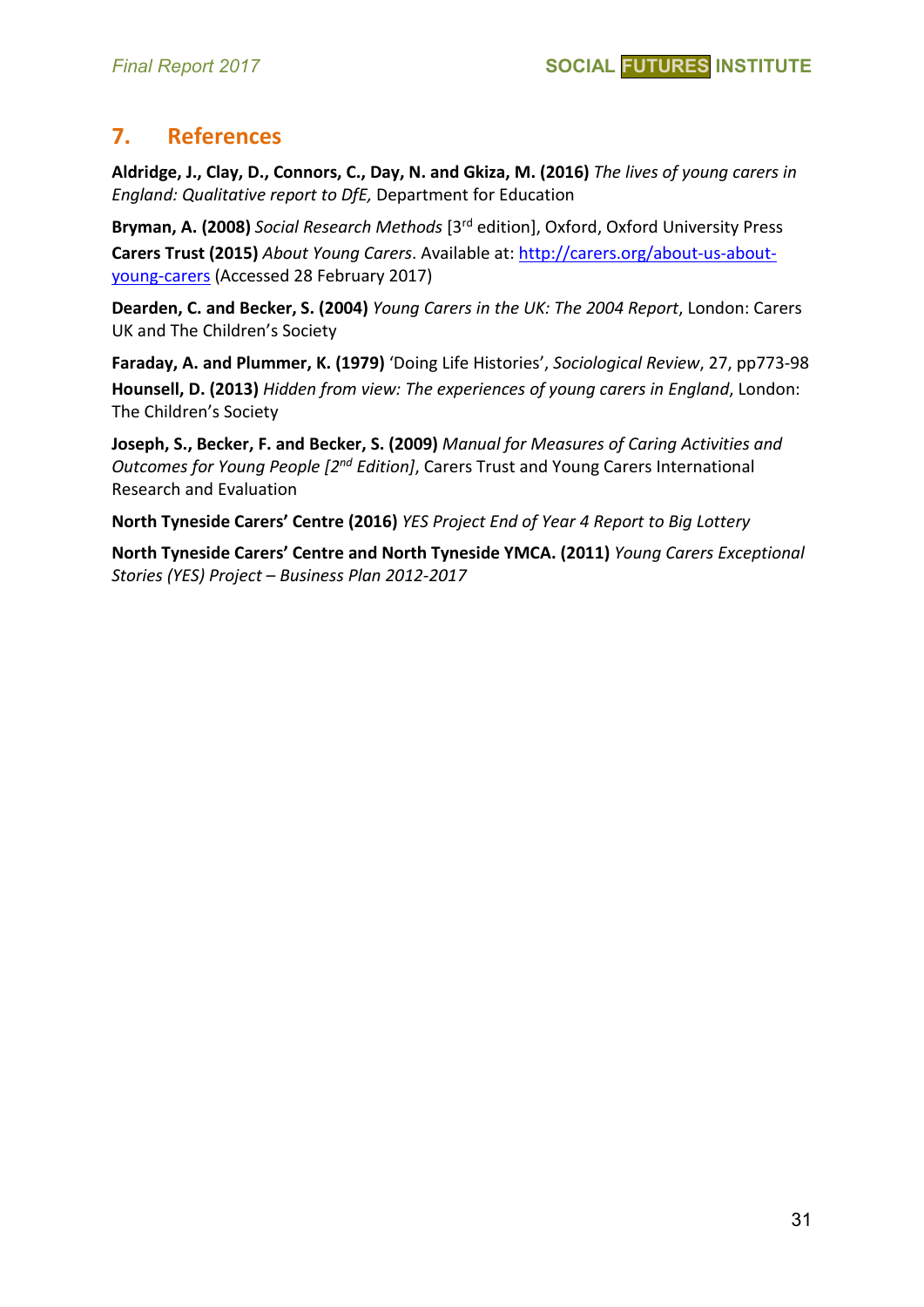# **7. References**

**Aldridge, J., Clay, D., Connors, C., Day, N. and Gkiza, M. (2016)** *The lives of young carers in England: Qualitative report to DfE,* Department for Education

**Bryman, A. (2008)** *Social Research Methods* [3rd edition], Oxford, Oxford University Press **Carers Trust (2015)** *About Young Carers*. Available at: [http://carers.org/about-us-about](http://carers.org/about-us-about-young-carers)[young-carers](http://carers.org/about-us-about-young-carers) (Accessed 28 February 2017)

**Dearden, C. and Becker, S. (2004)** *Young Carers in the UK: The 2004 Report*, London: Carers UK and The Children's Society

**Faraday, A. and Plummer, K. (1979)** 'Doing Life Histories', *Sociological Review*, 27, pp773-98 **Hounsell, D. (2013)** *Hidden from view: The experiences of young carers in England*, London: The Children's Society

**Joseph, S., Becker, F. and Becker, S. (2009)** *Manual for Measures of Caring Activities and Outcomes for Young People [2nd Edition]*, Carers Trust and Young Carers International Research and Evaluation

**North Tyneside Carers' Centre (2016)** *YES Project End of Year 4 Report to Big Lottery*

**North Tyneside Carers' Centre and North Tyneside YMCA. (2011)** *Young Carers Exceptional Stories (YES) Project – Business Plan 2012-2017*